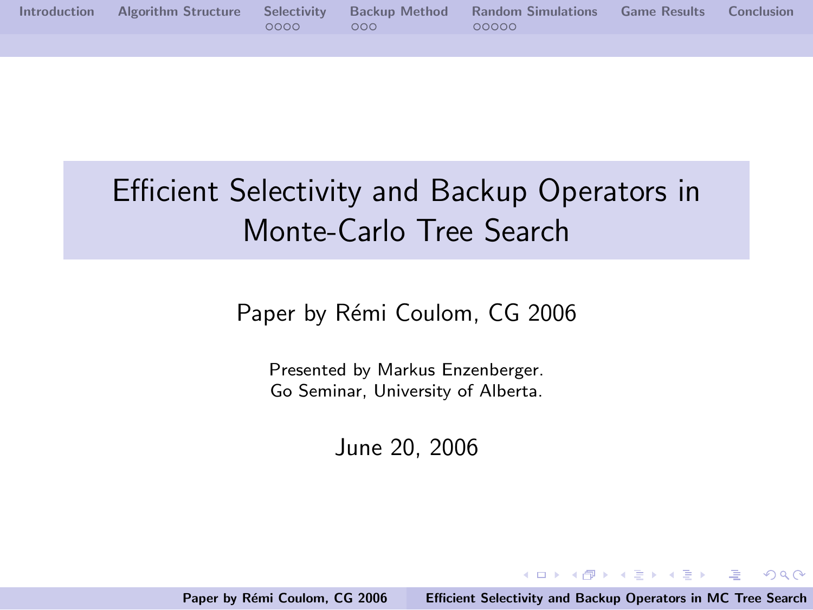|  |       |     | Introduction Algorithm Structure Selectivity Backup Method Random Simulations Game Results Conclusion |  |
|--|-------|-----|-------------------------------------------------------------------------------------------------------|--|
|  | OOOO. | റററ | 00000                                                                                                 |  |
|  |       |     |                                                                                                       |  |

# Efficient Selectivity and Backup Operators in Monte-Carlo Tree Search

Paper by Rémi Coulom, CG 2006

Presented by Markus Enzenberger. Go Seminar, University of Alberta.

June 20, 2006

Paper by Rémi Coulom, CG 2006 [Efficient Selectivity and Backup Operators in MC Tree Search](#page-60-0)

<span id="page-0-0"></span>イロメ イタメ イチメ イチメー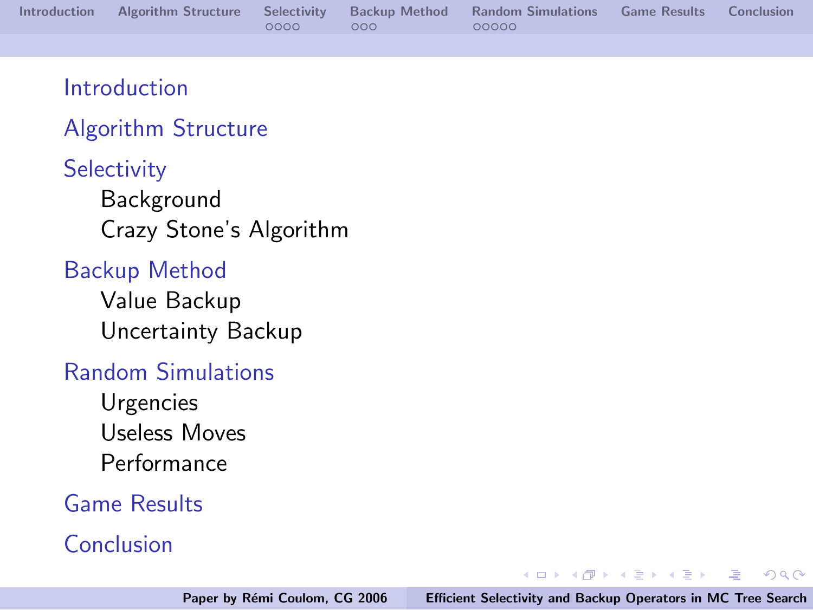|  |      |            | Introduction Algorithm Structure Selectivity Backup Method Random Simulations Game Results Conclusion |  |
|--|------|------------|-------------------------------------------------------------------------------------------------------|--|
|  | 0000 | $\sim$ 000 | - QQQQQ                                                                                               |  |

#### [Introduction](#page-2-0)

#### [Algorithm Structure](#page-7-0)

**[Selectivity](#page-13-0)** [Background](#page-14-0) [Crazy Stone's Algorithm](#page-21-0)

#### [Backup Method](#page-27-0)

[Value Backup](#page-39-0) [Uncertainty Backup](#page-41-0)

#### [Random Simulations](#page-42-0)

[Urgencies](#page-44-0) [Useless Moves](#page-49-0) [Performance](#page-52-0)

#### [Game Results](#page-53-0)

#### [Conclusion](#page-54-0)

a mills.

 $\mathcal{A} \oplus \mathcal{P} \rightarrow \mathcal{A} \oplus \mathcal{P} \rightarrow \mathcal{A} \oplus \mathcal{P}$ 

 $\equiv$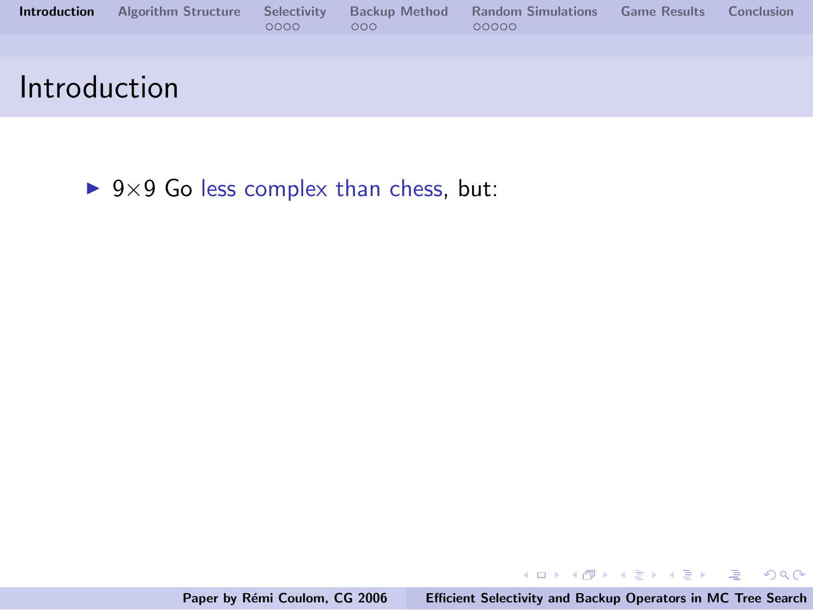| <b>Introduction</b> | <b>Algorithm Structure</b> | Selectivity<br>0000 | <b>Backup Method</b><br>000 | <b>Random Simulations</b><br>00000 | <b>Game Results</b> | <b>Conclusion</b> |
|---------------------|----------------------------|---------------------|-----------------------------|------------------------------------|---------------------|-------------------|
|                     |                            |                     |                             |                                    |                     |                   |
| Introduction        |                            |                     |                             |                                    |                     |                   |

 $\triangleright$  9×9 Go less complex than chess, but:

メロメ メ団 メメ ミメ メモメ

<span id="page-2-0"></span>重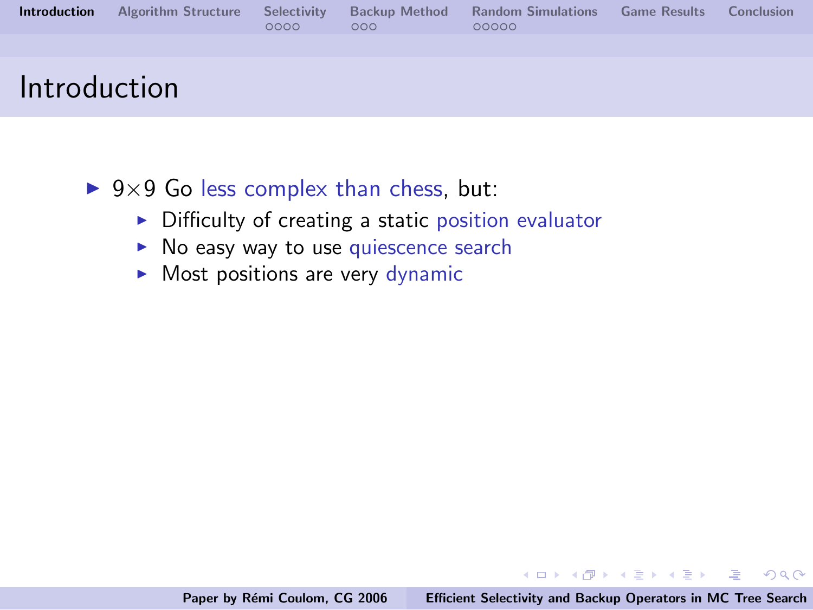| <b>Introduction</b> | <b>Algorithm Structure</b> Selectivity | 0000 | <b>Backup Method</b><br>000 <sub>0</sub> | <b>Random Simulations</b><br>00000 | <b>Game Results</b> | Conclusion |
|---------------------|----------------------------------------|------|------------------------------------------|------------------------------------|---------------------|------------|
|                     |                                        |      |                                          |                                    |                     |            |
| Introduction        |                                        |      |                                          |                                    |                     |            |

- $\triangleright$  9×9 Go less complex than chess, but:
	- $\triangleright$  Difficulty of creating a static position evaluator
	- $\triangleright$  No easy way to use quiescence search
	- $\triangleright$  Most positions are very dynamic

イロメ イ部メ イヨメ イヨメー

 $\equiv$ 

 $OQ$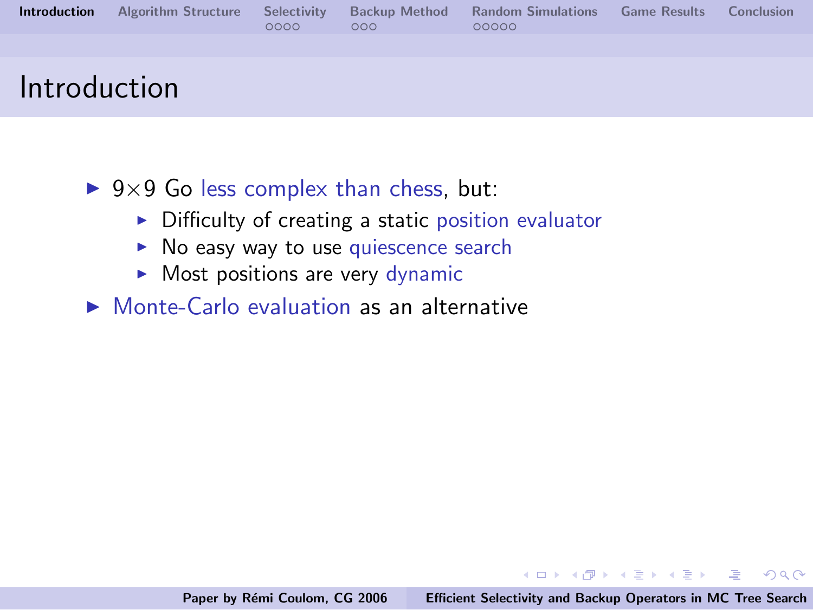| <b>Introduction</b> | <b>Algorithm Structure</b> Selectivity | 0000 | <b>Backup Method</b><br>000 <sub>0</sub> | <b>Random Simulations</b><br>00000 | <b>Game Results</b> | Conclusion |
|---------------------|----------------------------------------|------|------------------------------------------|------------------------------------|---------------------|------------|
|                     |                                        |      |                                          |                                    |                     |            |
| Introduction        |                                        |      |                                          |                                    |                     |            |

- $\triangleright$  9×9 Go less complex than chess, but:
	- $\triangleright$  Difficulty of creating a static position evaluator
	- $\triangleright$  No easy way to use quiescence search
	- $\triangleright$  Most positions are very dynamic
- $\triangleright$  Monte-Carlo evaluation as an alternative

イロメ イ部メ イヨメ イヨメー

 $\equiv$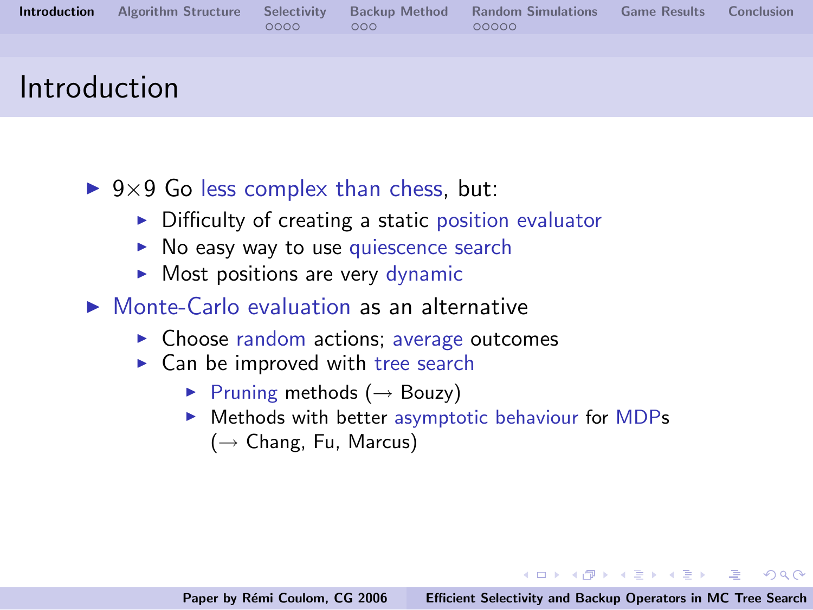|  | 0000 | 000 | <b>Introduction</b> Algorithm Structure Selectivity Backup Method Random Simulations Game Results Conclusion<br>00000 |  |
|--|------|-----|-----------------------------------------------------------------------------------------------------------------------|--|
|  |      |     |                                                                                                                       |  |
|  |      |     |                                                                                                                       |  |

## Introduction

- $\triangleright$  9×9 Go less complex than chess, but:
	- $\triangleright$  Difficulty of creating a static position evaluator
	- $\triangleright$  No easy way to use quiescence search
	- $\triangleright$  Most positions are very dynamic
- $\triangleright$  Monte-Carlo evaluation as an alternative
	- $\triangleright$  Choose random actions; average outcomes
	- $\triangleright$  Can be improved with tree search
		- $\triangleright$  Pruning methods ( $\rightarrow$  Bouzy)
		- $\triangleright$  Methods with better asymptotic behaviour for MDPs
			- $(\rightarrow$  Chang, Fu, Marcus)

イロメ イ御メ イヨメ イヨメー

 $\equiv$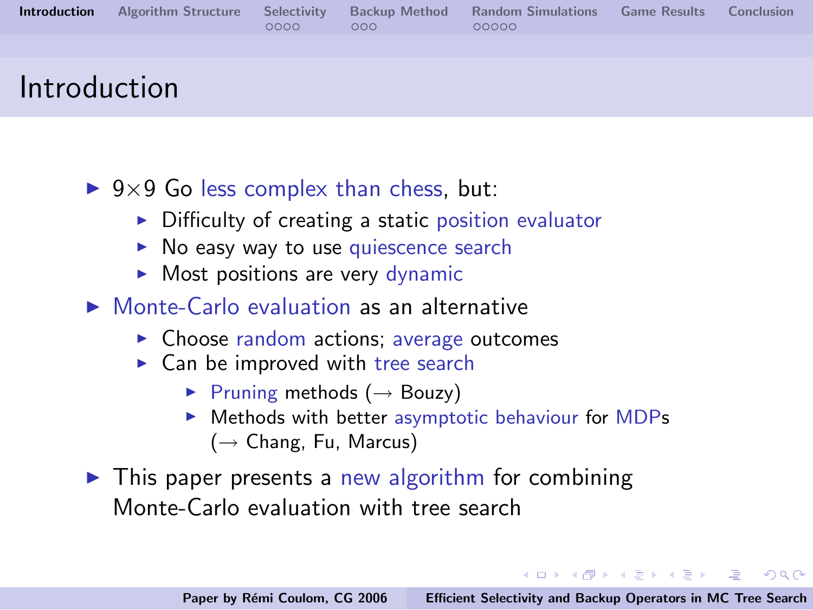|  | 0000 | 000 | <b>Introduction</b> Algorithm Structure Selectivity Backup Method Random Simulations<br>00000 | <b>Game Results</b> Conclusion |  |
|--|------|-----|-----------------------------------------------------------------------------------------------|--------------------------------|--|
|  |      |     |                                                                                               |                                |  |
|  |      |     |                                                                                               |                                |  |

## Introduction

- $\triangleright$  9×9 Go less complex than chess, but:
	- $\triangleright$  Difficulty of creating a static position evaluator
	- $\triangleright$  No easy way to use quiescence search
	- $\triangleright$  Most positions are very dynamic
- $\triangleright$  Monte-Carlo evaluation as an alternative
	- $\triangleright$  Choose random actions; average outcomes
	- $\triangleright$  Can be improved with tree search
		- $\triangleright$  Pruning methods ( $\rightarrow$  Bouzy)
		- $\triangleright$  Methods with better asymptotic behaviour for MDPs  $(\rightarrow$  Chang, Fu, Marcus)
- $\triangleright$  This paper presents a new algorithm for combining Monte-Carlo evaluation with tree search

**◆ロ→ ◆***団***→ ◆ミ→ → ミ**→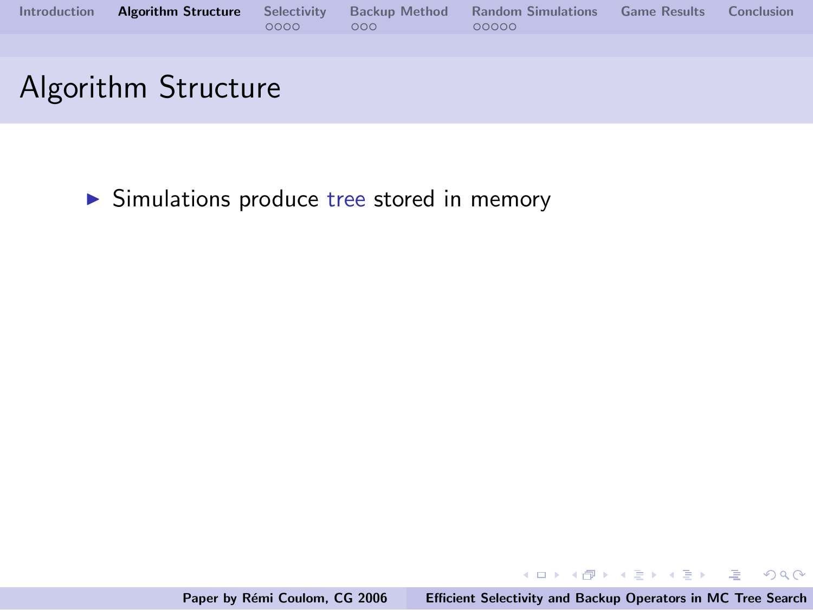| <b>Introduction</b> | <b>Algorithm Structure</b> | Selectivity<br>0000 | <b>Backup Method</b><br>000 | <b>Random Simulations</b><br>00000 | <b>Game Results</b> | Conclusion |
|---------------------|----------------------------|---------------------|-----------------------------|------------------------------------|---------------------|------------|
|                     |                            |                     |                             |                                    |                     |            |
|                     | Algorithm Structure        |                     |                             |                                    |                     |            |

 $\triangleright$  Simulations produce tree stored in memory

**K ロ メ イ団 メ ス ミ メ ス ミ メ** 

<span id="page-7-0"></span> $\equiv$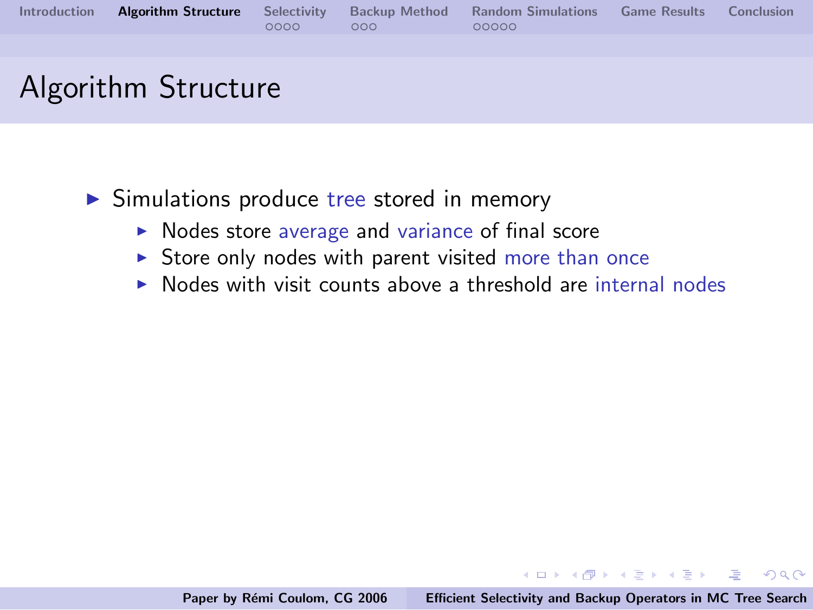|  |          |     | Introduction Algorithm Structure Selectivity Backup Method Random Simulations Game Results Conclusion |  |
|--|----------|-----|-------------------------------------------------------------------------------------------------------|--|
|  | $0000 -$ | റററ | 00000                                                                                                 |  |
|  |          |     |                                                                                                       |  |

- $\triangleright$  Simulations produce tree stored in memory
	- $\triangleright$  Nodes store average and variance of final score
	- $\triangleright$  Store only nodes with parent visited more than once
	- $\triangleright$  Nodes with visit counts above a threshold are internal nodes

イロメ イ御メ イヨメ イヨメー

 $\equiv$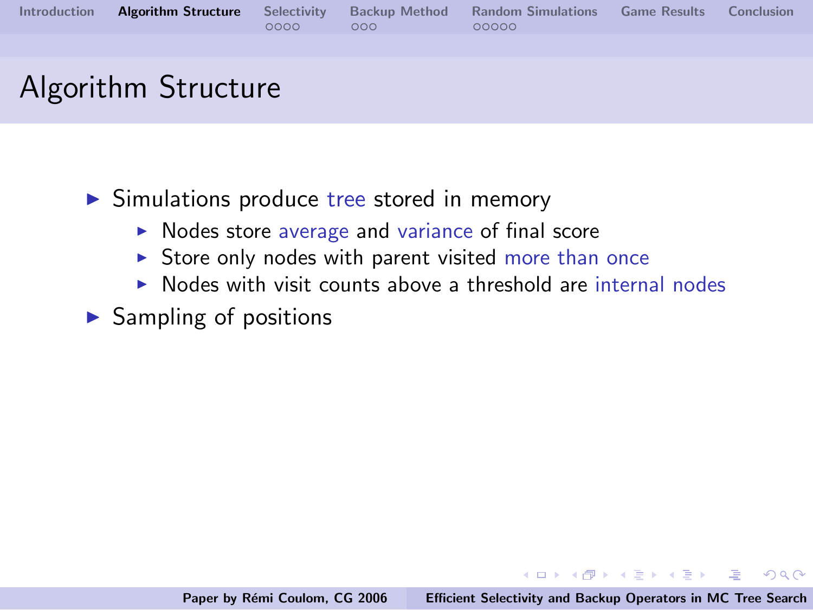|  |      |                | Introduction Algorithm Structure Selectivity Backup Method Random Simulations Game Results Conclusion |  |
|--|------|----------------|-------------------------------------------------------------------------------------------------------|--|
|  | 0000 | $\sim$ 000 $-$ | 00000                                                                                                 |  |
|  |      |                |                                                                                                       |  |

- $\triangleright$  Simulations produce tree stored in memory
	- $\triangleright$  Nodes store average and variance of final score
	- $\triangleright$  Store only nodes with parent visited more than once
	- $\triangleright$  Nodes with visit counts above a threshold are internal nodes

 $\blacktriangleright$  Sampling of positions

イロメ イ部メ イヨメ イヨメー

 $\equiv$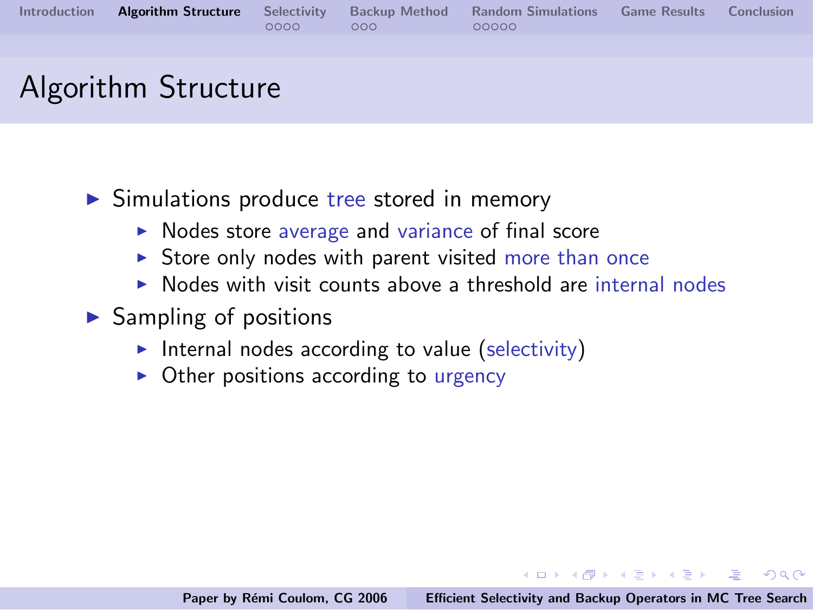|  |                                                       | Introduction Algorithm Structure Selectivity Backup Method Random Simulations Game Results Conclusion |  |
|--|-------------------------------------------------------|-------------------------------------------------------------------------------------------------------|--|
|  | $\begin{array}{ccc}\n0000 & \cdot & 000\n\end{array}$ | 00000                                                                                                 |  |
|  |                                                       |                                                                                                       |  |

- $\triangleright$  Simulations produce tree stored in memory
	- $\triangleright$  Nodes store average and variance of final score
	- $\triangleright$  Store only nodes with parent visited more than once
	- Nodes with visit counts above a threshold are internal nodes
- $\blacktriangleright$  Sampling of positions
	- Internal nodes according to value (selectivity)
	- $\triangleright$  Other positions according to urgency

イロメ イ部メ イヨメ イヨメー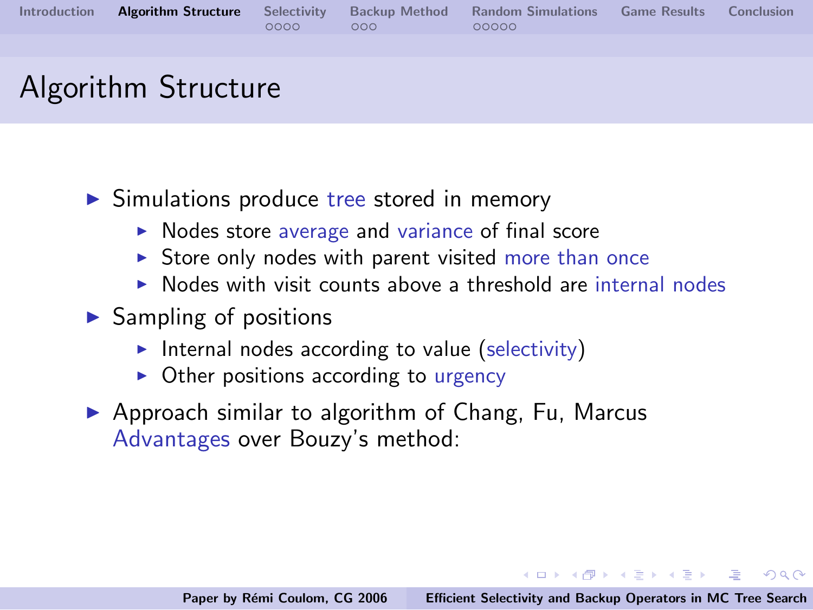|  |        |                  | Introduction Algorithm Structure Selectivity Backup Method Random Simulations Game Results Conclusion |  |
|--|--------|------------------|-------------------------------------------------------------------------------------------------------|--|
|  | OOOO - | 000 <sup>2</sup> | 00000                                                                                                 |  |
|  |        |                  |                                                                                                       |  |

- $\triangleright$  Simulations produce tree stored in memory
	- $\triangleright$  Nodes store average and variance of final score
	- $\triangleright$  Store only nodes with parent visited more than once
	- $\triangleright$  Nodes with visit counts above a threshold are internal nodes
- $\blacktriangleright$  Sampling of positions
	- Internal nodes according to value (selectivity)
	- $\triangleright$  Other positions according to urgency
- $\triangleright$  Approach similar to algorithm of Chang, Fu, Marcus Advantages over Bouzy's method:

K ロンド (個) > R (話) > R (話) > 1 (話)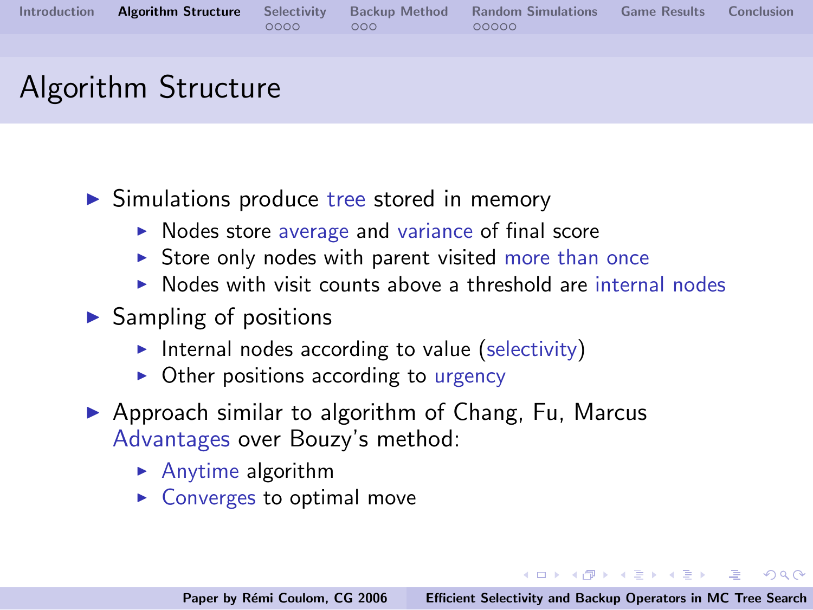|  |        |                  | Introduction Algorithm Structure Selectivity Backup Method Random Simulations Game Results Conclusion |  |
|--|--------|------------------|-------------------------------------------------------------------------------------------------------|--|
|  | OOOO - | 000 <sup>2</sup> | 00000                                                                                                 |  |
|  |        |                  |                                                                                                       |  |

- $\triangleright$  Simulations produce tree stored in memory
	- $\triangleright$  Nodes store average and variance of final score
	- $\triangleright$  Store only nodes with parent visited more than once
	- $\triangleright$  Nodes with visit counts above a threshold are internal nodes
- $\blacktriangleright$  Sampling of positions
	- Internal nodes according to value (selectivity)
	- $\triangleright$  Other positions according to urgency
- $\triangleright$  Approach similar to algorithm of Chang, Fu, Marcus Advantages over Bouzy's method:
	- $\blacktriangleright$  Anytime algorithm
	- $\triangleright$  Converges to optimal move

K ロンド (個) > R (話) > R (話) > 1 (話)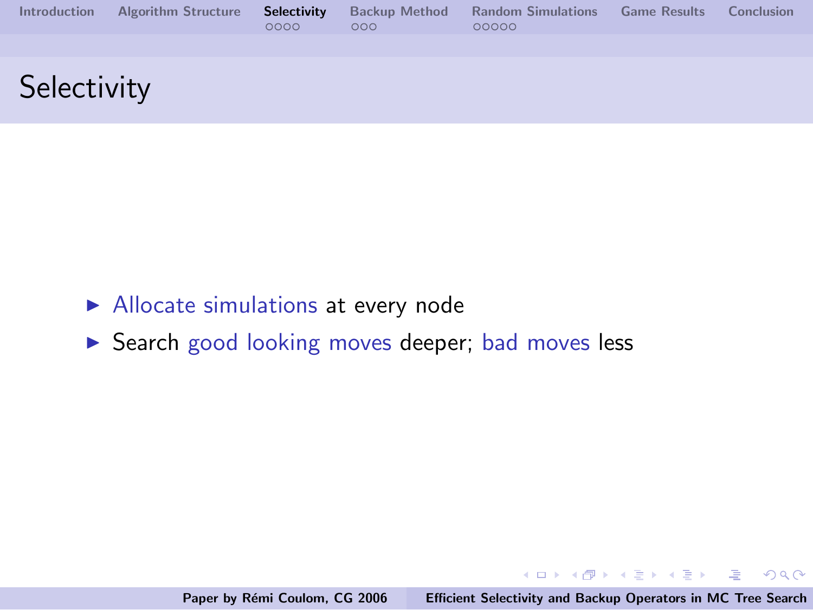| <b>Introduction</b> | <b>Algorithm Structure</b> | Selectivity<br>0000 | <b>Backup Method</b><br>000 | <b>Random Simulations</b><br>00000 | <b>Game Results</b> | Conclusion |
|---------------------|----------------------------|---------------------|-----------------------------|------------------------------------|---------------------|------------|
|                     |                            |                     |                             |                                    |                     |            |
| Selectivity         |                            |                     |                             |                                    |                     |            |

- $\blacktriangleright$  Allocate simulations at every node
- ▶ Search good looking moves deeper; bad moves less

メロメ メ団 メメ ミメ メ ミメー

<span id="page-13-0"></span>压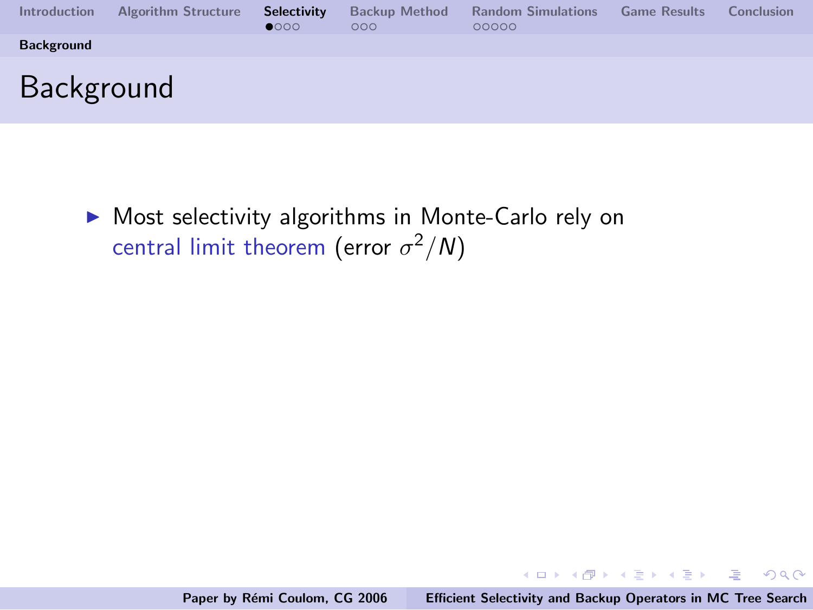| Introduction      | <b>Algorithm Structure</b> | <b>Selectivity</b><br>$\bullet$ 000 | <b>Backup Method</b><br>000 | <b>Random Simulations</b><br>00000 | <b>Game Results</b> | Conclusion |
|-------------------|----------------------------|-------------------------------------|-----------------------------|------------------------------------|---------------------|------------|
| <b>Background</b> |                            |                                     |                             |                                    |                     |            |
| <b>Background</b> |                            |                                     |                             |                                    |                     |            |

 $\triangleright$  Most selectivity algorithms in Monte-Carlo rely on central limit theorem (error  $\sigma^2/N$ )

イロメ イ部メ イヨメ イヨメー

注

<span id="page-14-0"></span> $2Q$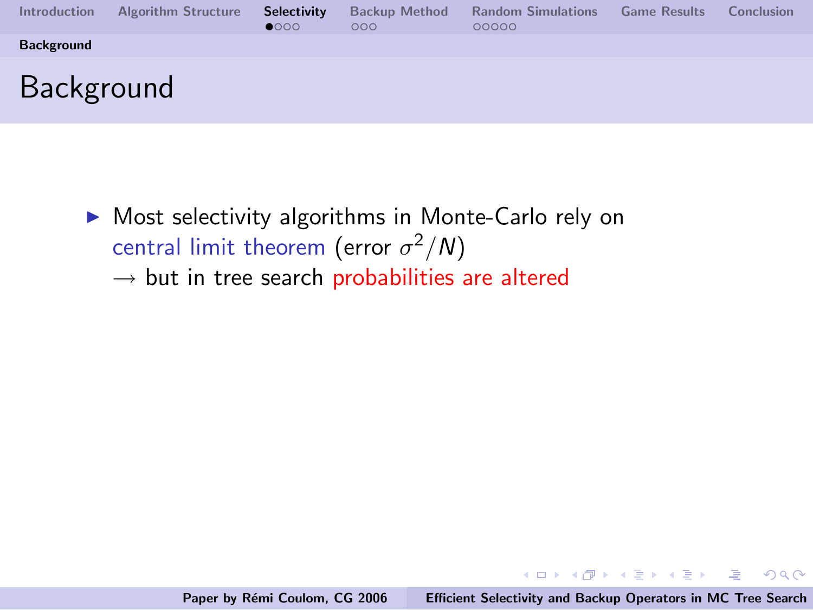| <b>Introduction</b> | <b>Algorithm Structure</b> | <b>Selectivity</b><br>$\bullet$ 000 | <b>Backup Method</b><br>000 | <b>Random Simulations</b><br>00000 | <b>Game Results</b> | Conclusion |
|---------------------|----------------------------|-------------------------------------|-----------------------------|------------------------------------|---------------------|------------|
| <b>Background</b>   |                            |                                     |                             |                                    |                     |            |
| <b>Background</b>   |                            |                                     |                             |                                    |                     |            |

 $\triangleright$  Most selectivity algorithms in Monte-Carlo rely on central limit theorem (error  $\sigma^2/N$ )  $\rightarrow$  but in tree search probabilities are altered

K ロ ▶ K @ ▶ K 글 ▶ K 글 ▶ → 글 → K) Q Q →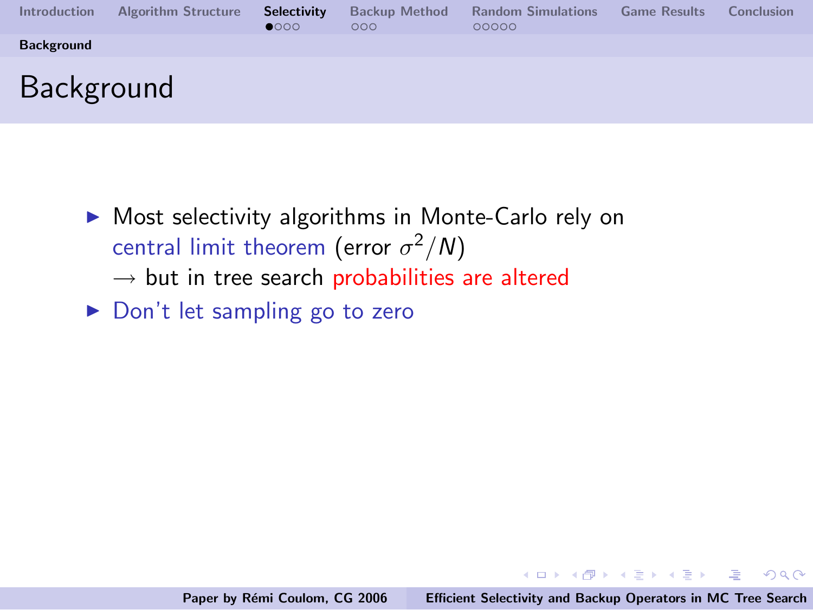| <b>Introduction</b> | <b>Algorithm Structure</b> | Selectivity<br>$\bullet$ 000 | <b>Backup Method</b><br>000 | <b>Random Simulations</b><br>00000 | <b>Game Results</b> | Conclusion |
|---------------------|----------------------------|------------------------------|-----------------------------|------------------------------------|---------------------|------------|
| <b>Background</b>   |                            |                              |                             |                                    |                     |            |
| <b>Background</b>   |                            |                              |                             |                                    |                     |            |

- $\triangleright$  Most selectivity algorithms in Monte-Carlo rely on central limit theorem (error  $\sigma^2/N$ )
	- $\rightarrow$  but in tree search probabilities are altered
- ▶ Don't let sampling go to zero

K ロンド (個) > R (話) > R (話) > 1 (話)

 $OQ$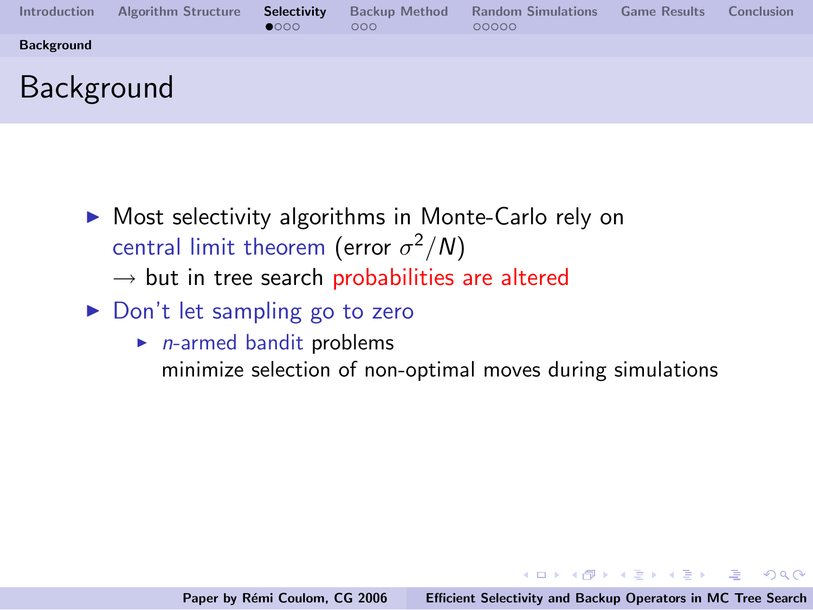| <b>Introduction</b> | <b>Algorithm Structure</b> | Selectivity<br>$\bullet$ 000 | <b>Backup Method</b><br>000 | <b>Random Simulations</b><br>00000 | <b>Game Results</b> | Conclusion |
|---------------------|----------------------------|------------------------------|-----------------------------|------------------------------------|---------------------|------------|
| <b>Background</b>   |                            |                              |                             |                                    |                     |            |
| <b>Background</b>   |                            |                              |                             |                                    |                     |            |

- $\triangleright$  Most selectivity algorithms in Monte-Carlo rely on central limit theorem (error  $\sigma^2/N$ )
	- $\rightarrow$  but in tree search probabilities are altered
- $\triangleright$  Don't let sampling go to zero
	- $\blacktriangleright$  *n*-armed bandit problems minimize selection of non-optimal moves during simulations

K ロ ▶ K @ ▶ K 글 ▶ K 글 ▶ → 글 → K) Q Q →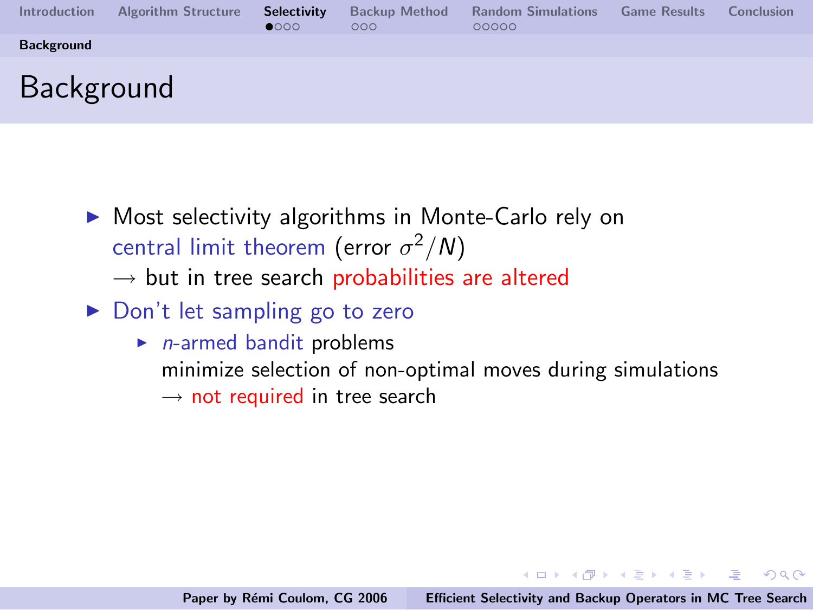| <b>Introduction</b> | <b>Algorithm Structure</b> | Selectivity<br>$\bullet$ 000 | <b>Backup Method</b><br>000 | <b>Random Simulations</b><br>00000 | <b>Game Results</b> | Conclusion |
|---------------------|----------------------------|------------------------------|-----------------------------|------------------------------------|---------------------|------------|
| <b>Background</b>   |                            |                              |                             |                                    |                     |            |
| <b>Background</b>   |                            |                              |                             |                                    |                     |            |

- $\triangleright$  Most selectivity algorithms in Monte-Carlo rely on central limit theorem (error  $\sigma^2/N$ )
	- $\rightarrow$  but in tree search probabilities are altered
- $\triangleright$  Don't let sampling go to zero
	- $\blacktriangleright$  *n*-armed bandit problems minimize selection of non-optimal moves during simulations  $\rightarrow$  not required in tree search

イロン イ団ン イミン イモンド 走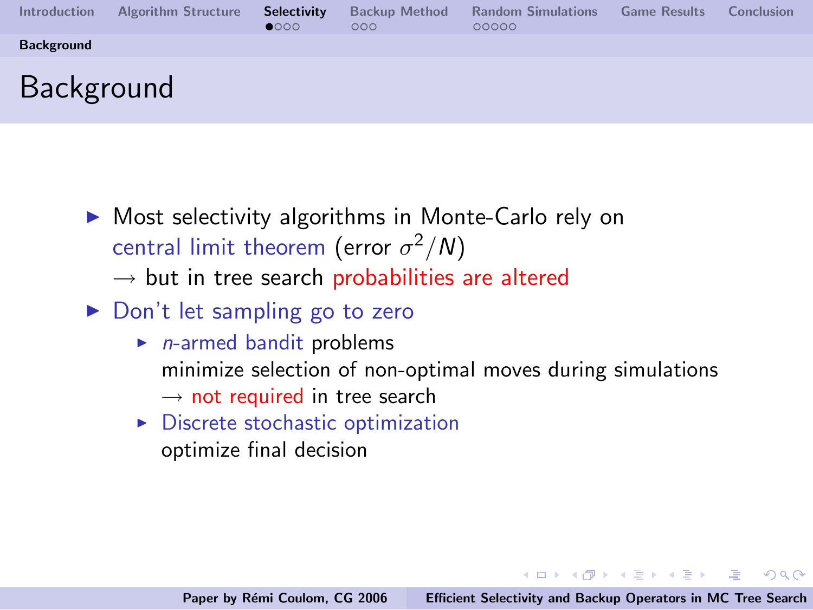| <b>Introduction</b> | <b>Algorithm Structure</b> | <b>Selectivity</b><br>$\bullet$ 000 | <b>Backup Method</b><br>000 | <b>Random Simulations</b><br>00000 | <b>Game Results</b> | Conclusion |
|---------------------|----------------------------|-------------------------------------|-----------------------------|------------------------------------|---------------------|------------|
| <b>Background</b>   |                            |                                     |                             |                                    |                     |            |
| Background          |                            |                                     |                             |                                    |                     |            |

- $\triangleright$  Most selectivity algorithms in Monte-Carlo rely on central limit theorem (error  $\sigma^2/N$ )
	- $\rightarrow$  but in tree search probabilities are altered
- $\triangleright$  Don't let sampling go to zero
	- $\blacktriangleright$  *n*-armed bandit problems minimize selection of non-optimal moves during simulations  $\rightarrow$  not required in tree search
	- $\triangleright$  Discrete stochastic optimization optimize final decision

K ロンド (個) > R (話) > R (話) > 1 (話)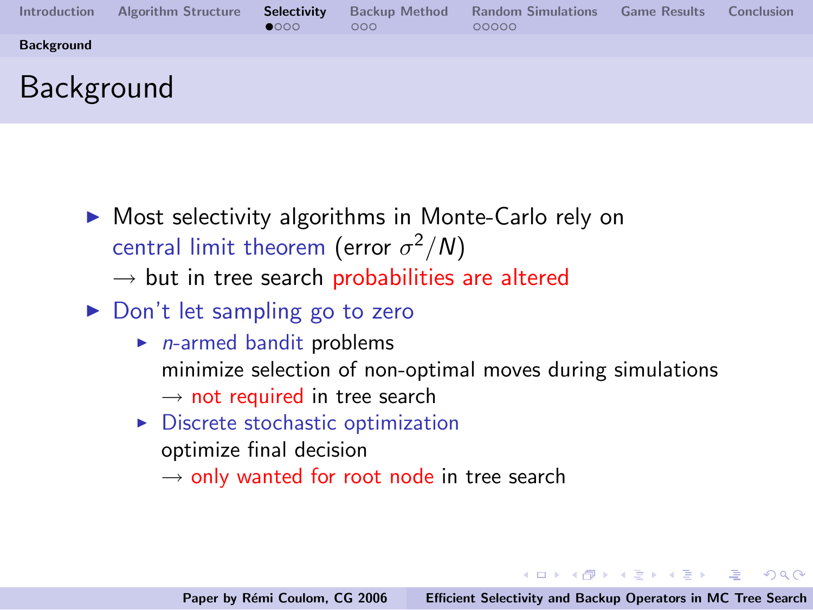| <b>Introduction</b> | <b>Algorithm Structure</b> | <b>Selectivity</b><br>$\bullet$ 000 | <b>Backup Method</b><br>000 | <b>Random Simulations</b><br>00000 | <b>Game Results</b> | Conclusion |
|---------------------|----------------------------|-------------------------------------|-----------------------------|------------------------------------|---------------------|------------|
| <b>Background</b>   |                            |                                     |                             |                                    |                     |            |
| <b>Background</b>   |                            |                                     |                             |                                    |                     |            |

- $\triangleright$  Most selectivity algorithms in Monte-Carlo rely on central limit theorem (error  $\sigma^2/N$ )
	- $\rightarrow$  but in tree search probabilities are altered
- $\triangleright$  Don't let sampling go to zero
	- $\blacktriangleright$  *n*-armed bandit problems minimize selection of non-optimal moves during simulations  $\rightarrow$  not required in tree search
	- $\triangleright$  Discrete stochastic optimization optimize final decision
		- $\rightarrow$  only wanted for root node in tree search

K ロンド (個) > R (話) > R (話) > 1 (話)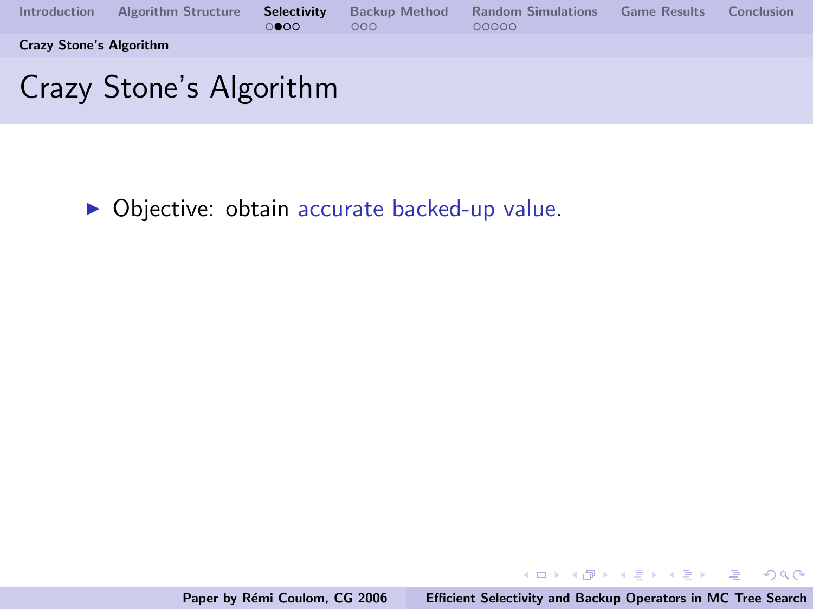

 $\triangleright$  Objective: obtain accurate backed-up value.

イロメ イ部メ イヨメ イヨメー

<span id="page-21-0"></span>造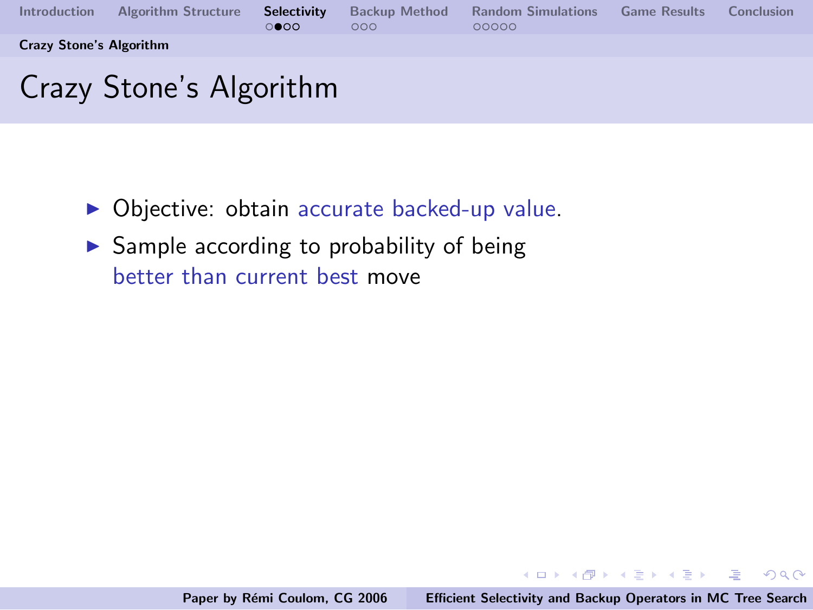

- $\triangleright$  Objective: obtain accurate backed-up value.
- $\blacktriangleright$  Sample according to probability of being better than current best move

イロメ イ御メ イヨメ イヨメー

 $\equiv$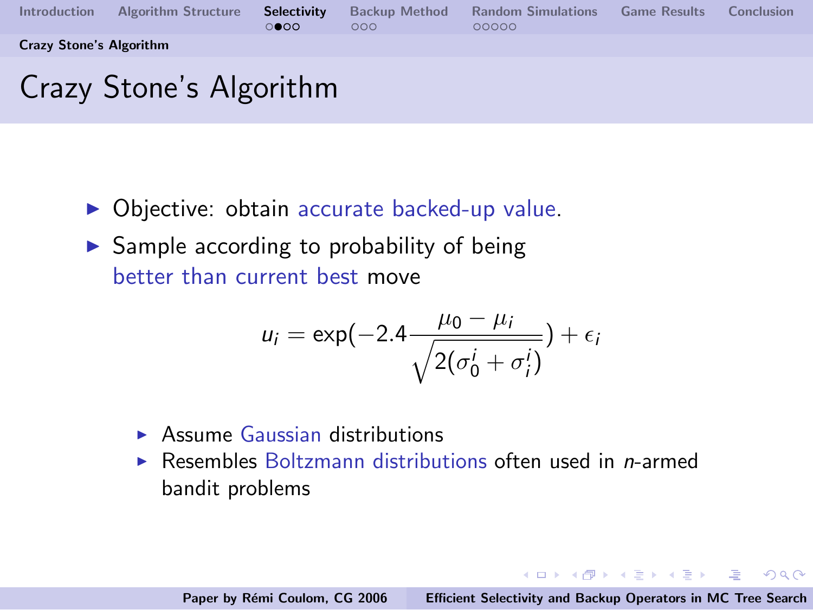

- $\triangleright$  Objective: obtain accurate backed-up value.
- $\triangleright$  Sample according to probability of being better than current best move

$$
u_i = \exp(-2.4 \frac{\mu_0 - \mu_i}{\sqrt{2(\sigma_0^i + \sigma_i^i)}}) + \epsilon_i
$$

- $\triangleright$  Assume Gaussian distributions
- $\triangleright$  Resembles Boltzmann distributions often used in *n*-armed bandit problems

イロメ イ母メ イヨメ イヨメーヨー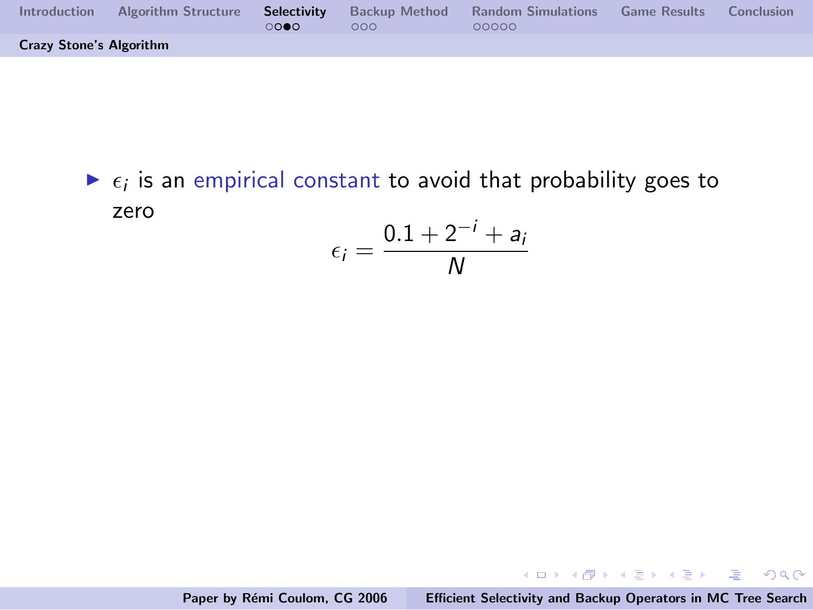| <b>Introduction</b>            | <b>Algorithm Structure</b> | റററെ | 000 | <b>Selectivity</b> Backup Method Random Simulations<br>00000 | <b>Game Results</b> Conclusion |  |
|--------------------------------|----------------------------|------|-----|--------------------------------------------------------------|--------------------------------|--|
| <b>Crazy Stone's Algorithm</b> |                            |      |     |                                                              |                                |  |

 $\blacktriangleright$   $\epsilon_i$  is an empirical constant to avoid that probability goes to zero

$$
\epsilon_i = \frac{0.1 + 2^{-i} + a_i}{N}
$$

K ロ ▶ K @ ▶ K 결 ▶ K 결 ▶ ○ 결

 $-990$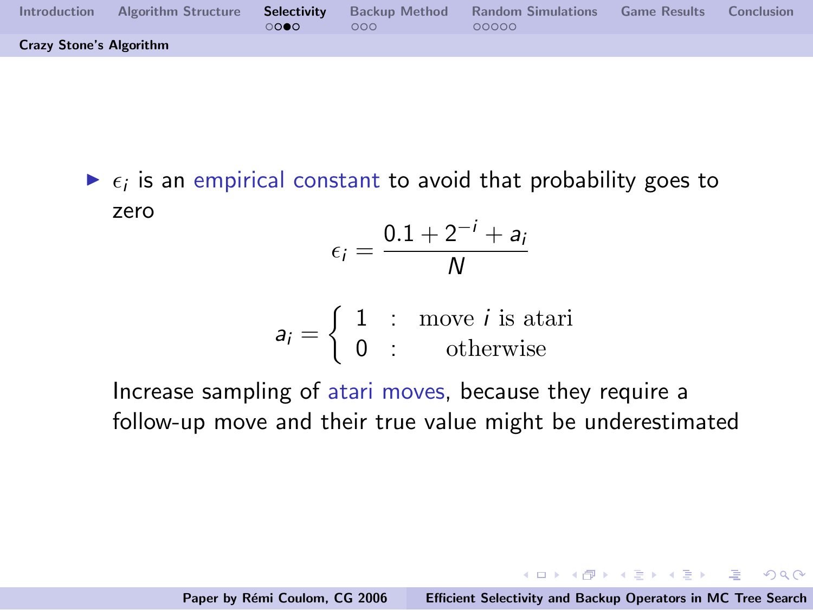| Introduction                   | Algorithm Structure | റററെ | 000 | <b>Selectivity</b> Backup Method Random Simulations<br>00000 | <b>Game Results</b> | Conclusion |
|--------------------------------|---------------------|------|-----|--------------------------------------------------------------|---------------------|------------|
| <b>Crazy Stone's Algorithm</b> |                     |      |     |                                                              |                     |            |

 $\blacktriangleright$   $\epsilon_i$  is an empirical constant to avoid that probability goes to zero

$$
\epsilon_i = \frac{0.1 + 2^{-i} + a_i}{N}
$$

$$
a_i = \left\{ \begin{array}{rcl} 1 & \text{: move } i \text{ is atari} \\ 0 & \text{: } & \text{otherwise} \end{array} \right.
$$

Increase sampling of atari moves, because they require a follow-up move and their true value might be underestimated

K ロ ▶ K 個 ▶ K 글 ▶ K 글 ▶ - 글 - K 9 Q @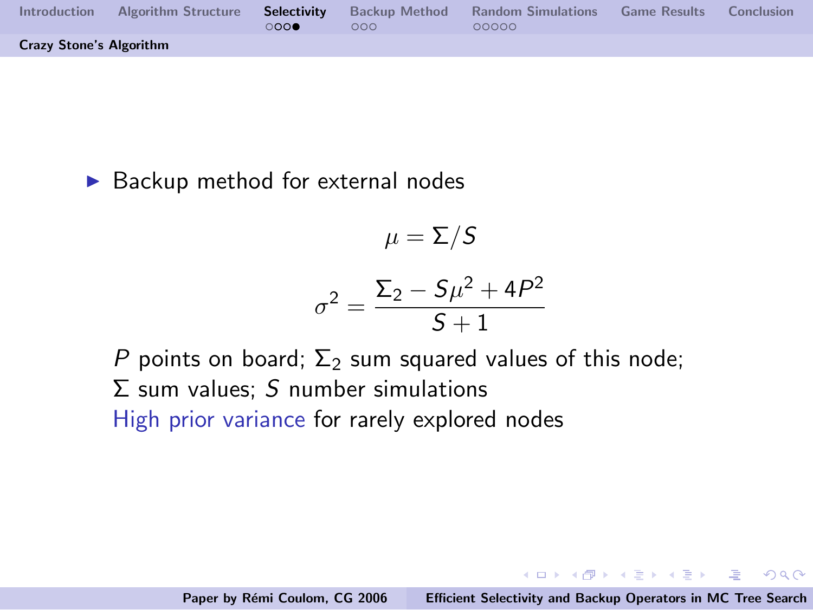| Introduction                   | Algorithm Structure <b>Selectivity</b> Backup Method Random Simulations | റററെ | 000 | 00000 | <b>Game Results</b> | Conclusion |
|--------------------------------|-------------------------------------------------------------------------|------|-----|-------|---------------------|------------|
| <b>Crazy Stone's Algorithm</b> |                                                                         |      |     |       |                     |            |

 $\blacktriangleright$  Backup method for external nodes

$$
\mu=\Sigma/S
$$

$$
\sigma^2 = \frac{\Sigma_2 - S\mu^2 + 4P^2}{S+1}
$$

P points on board;  $\Sigma_2$  sum squared values of this node;  $\Sigma$  sum values; S number simulations High prior variance for rarely explored nodes

K ロ ▶ K 個 ▶ K 글 ▶ K 글 ▶ - 글 - K 9 Q @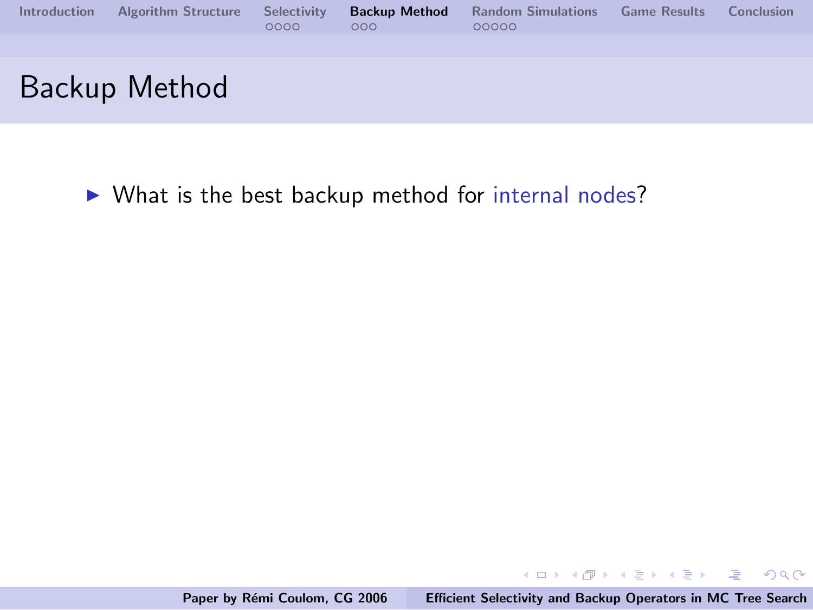| <b>Introduction</b> | <b>Algorithm Structure</b> | Selectivity<br>0000 | <b>Backup Method</b><br>000 | <b>Random Simulations</b><br>00000 | <b>Game Results</b> | Conclusion |
|---------------------|----------------------------|---------------------|-----------------------------|------------------------------------|---------------------|------------|
|                     |                            |                     |                             |                                    |                     |            |
|                     | Backup Method              |                     |                             |                                    |                     |            |

 $\triangleright$  What is the best backup method for internal nodes?

メロメ メ団 メメ ミメ メ ミメー

重

<span id="page-27-0"></span> $QQ$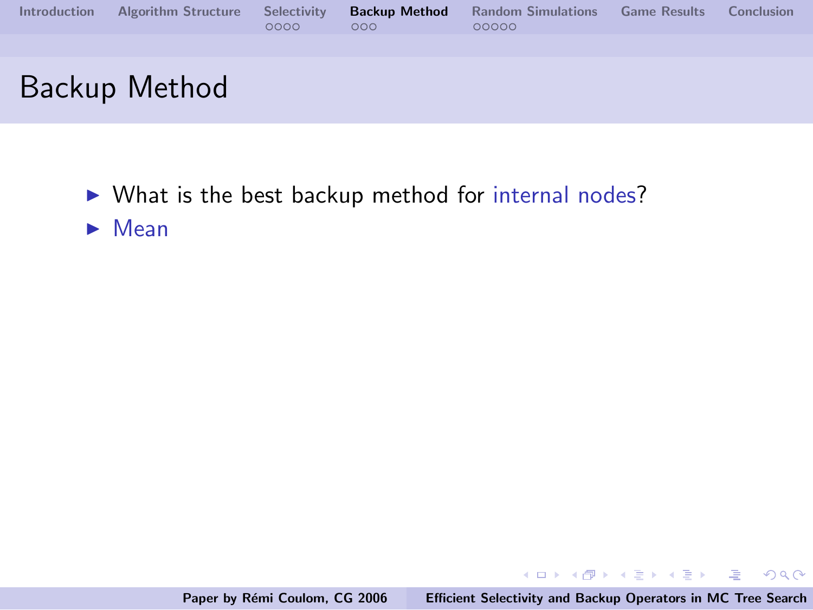| <b>Introduction</b> | <b>Algorithm Structure</b> | Selectivity<br>0000 | <b>Backup Method</b><br>000 | <b>Random Simulations</b><br>00000 | <b>Game Results</b> | Conclusion |
|---------------------|----------------------------|---------------------|-----------------------------|------------------------------------|---------------------|------------|
|                     |                            |                     |                             |                                    |                     |            |
|                     | Backup Method              |                     |                             |                                    |                     |            |

- $\triangleright$  What is the best backup method for internal nodes?
- $\blacktriangleright$  Mean

K ロ X K @ X K 할 X K 할 X ( 할 X ) 원 X 0 K 0 K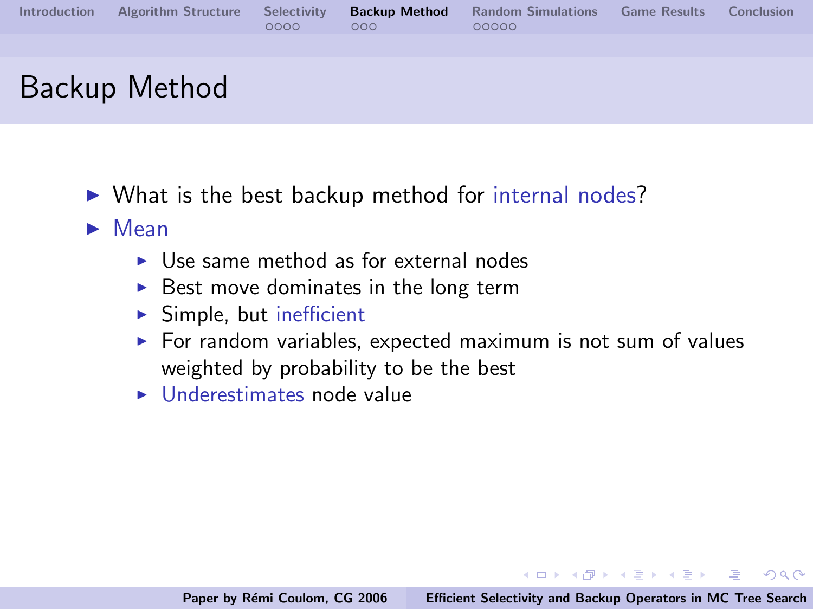|  | 0000 | 000 <sub>0</sub> | Introduction Algorithm Structure Selectivity Backup Method Random Simulations Game Results Conclusion<br>00000 |  |
|--|------|------------------|----------------------------------------------------------------------------------------------------------------|--|
|  |      |                  |                                                                                                                |  |

# Backup Method

- $\triangleright$  What is the best backup method for internal nodes?
- $\blacktriangleright$  Mean
	- $\blacktriangleright$  Use same method as for external nodes
	- $\triangleright$  Best move dominates in the long term
	- $\blacktriangleright$  Simple, but inefficient
	- $\triangleright$  For random variables, expected maximum is not sum of values weighted by probability to be the best
	- $\blacktriangleright$  Underestimates node value

K ロ ▶ K @ ▶ K 글 ▶ K 글 ▶ → 글 → K) Q Q →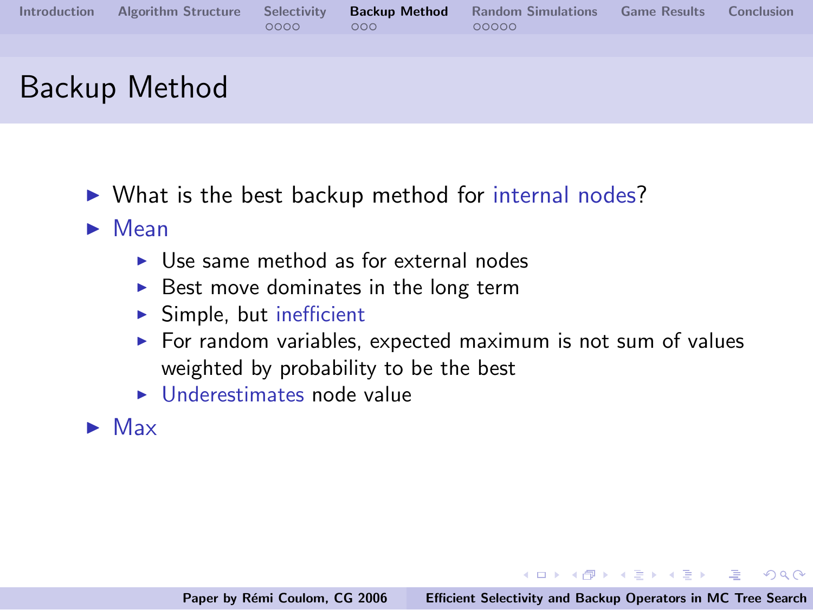|  | 0000 | 000 <sub>0</sub> | Introduction Algorithm Structure Selectivity Backup Method Random Simulations Game Results Conclusion<br>00000 |  |
|--|------|------------------|----------------------------------------------------------------------------------------------------------------|--|
|  |      |                  |                                                                                                                |  |

# Backup Method

- $\triangleright$  What is the best backup method for internal nodes?
- $\blacktriangleright$  Mean
	- $\blacktriangleright$  Use same method as for external nodes
	- $\triangleright$  Best move dominates in the long term
	- $\blacktriangleright$  Simple, but inefficient
	- $\triangleright$  For random variables, expected maximum is not sum of values weighted by probability to be the best
	- $\blacktriangleright$  Underestimates node value
- $\blacktriangleright$  Max

K ロ ▶ K @ ▶ K 글 ▶ K 글 ▶ → 글 → K) Q Q →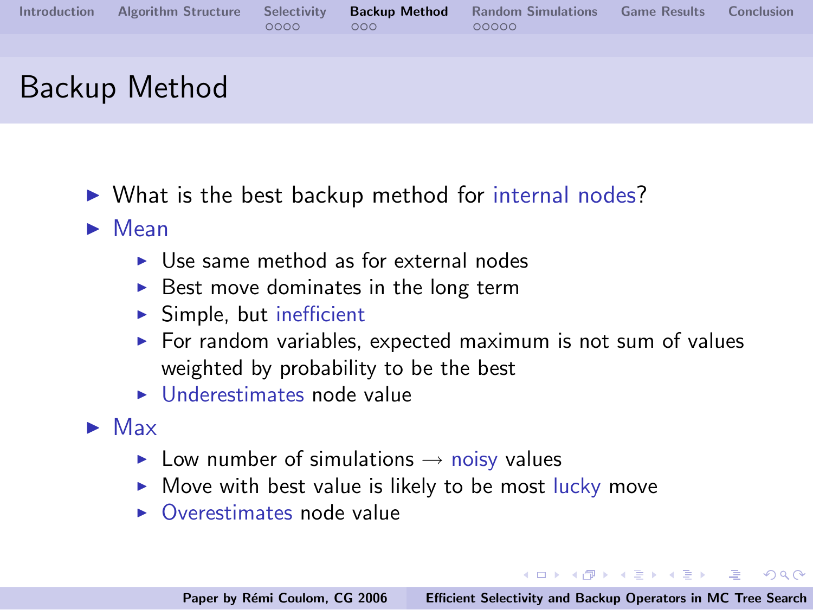|  | 0000 | 000 | Introduction Algorithm Structure Selectivity Backup Method Random Simulations Game Results Conclusion<br>00000 |  |
|--|------|-----|----------------------------------------------------------------------------------------------------------------|--|
|  |      |     |                                                                                                                |  |

# Backup Method

- $\triangleright$  What is the best backup method for internal nodes?
- $\blacktriangleright$  Mean
	- $\blacktriangleright$  Use same method as for external nodes
	- $\triangleright$  Best move dominates in the long term
	- $\blacktriangleright$  Simple, but inefficient
	- $\triangleright$  For random variables, expected maximum is not sum of values weighted by probability to be the best
	- $\blacktriangleright$  Underestimates node value
- $\blacktriangleright$  Max
	- ► Low number of simulations  $\rightarrow$  noisy values
	- $\blacktriangleright$  Move with best value is likely to be most lucky move
	- $\triangleright$  Overestimates node value

**KOD KOD KED KED E YOUR**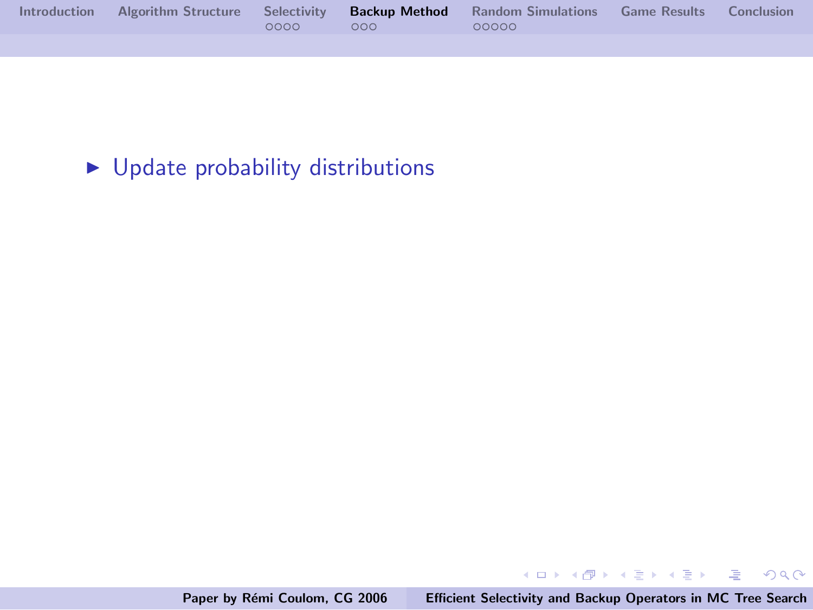|  |          |                   | Introduction Algorithm Structure Selectivity Backup Method Random Simulations Game Results Conclusion |  |
|--|----------|-------------------|-------------------------------------------------------------------------------------------------------|--|
|  | $0000 -$ | $\sim$ 000 $\sim$ | 00000                                                                                                 |  |
|  |          |                   |                                                                                                       |  |

## $\blacktriangleright$  Update probability distributions

Paper by Rémi Coulom, CG 2006 [Efficient Selectivity and Backup Operators in MC Tree Search](#page-0-0)

メロメ メ団 メメ ミメ メ ミメー

 $\equiv$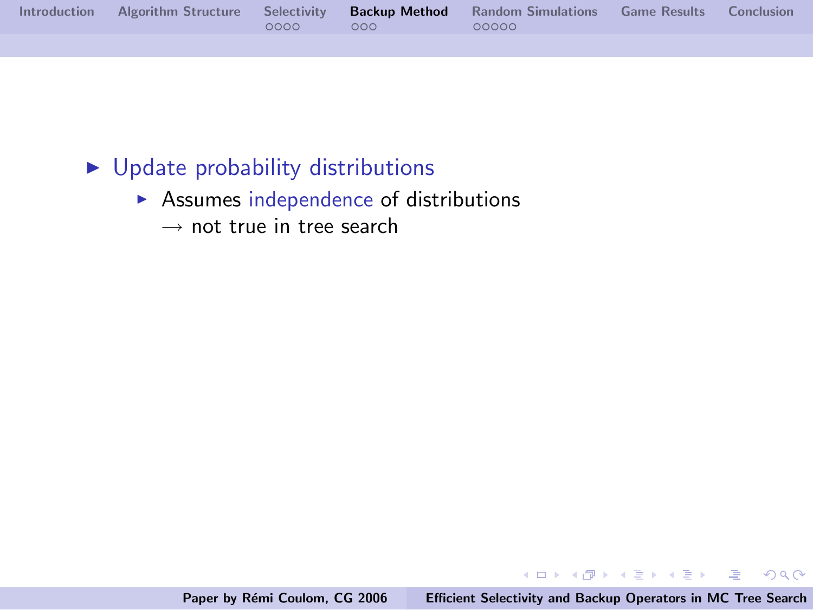|  |            | Introduction Algorithm Structure Selectivity Backup Method Random Simulations Game Results Conclusion |  |
|--|------------|-------------------------------------------------------------------------------------------------------|--|
|  | $0000$ 000 | 00000                                                                                                 |  |
|  |            |                                                                                                       |  |

#### $\blacktriangleright$  Update probability distributions

- $\blacktriangleright$  Assumes independence of distributions
	- $\rightarrow$  not true in tree search

イロメ イ部メ イヨメ イヨメー

重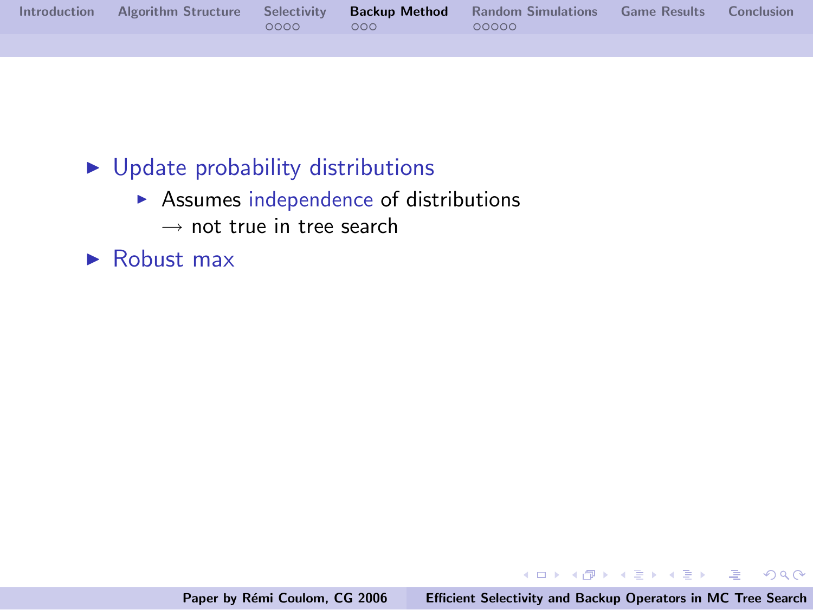|  |          |                | Introduction Algorithm Structure Selectivity Backup Method Random Simulations Game Results Conclusion |  |
|--|----------|----------------|-------------------------------------------------------------------------------------------------------|--|
|  | $0000 -$ | $\sim$ 000 $-$ | 00000                                                                                                 |  |
|  |          |                |                                                                                                       |  |

### $\blacktriangleright$  Update probability distributions

- $\triangleright$  Assumes independence of distributions
	- $\rightarrow$  not true in tree search
- $\blacktriangleright$  Robust max

イロメ イ部メ イヨメ イヨメー

 $\equiv$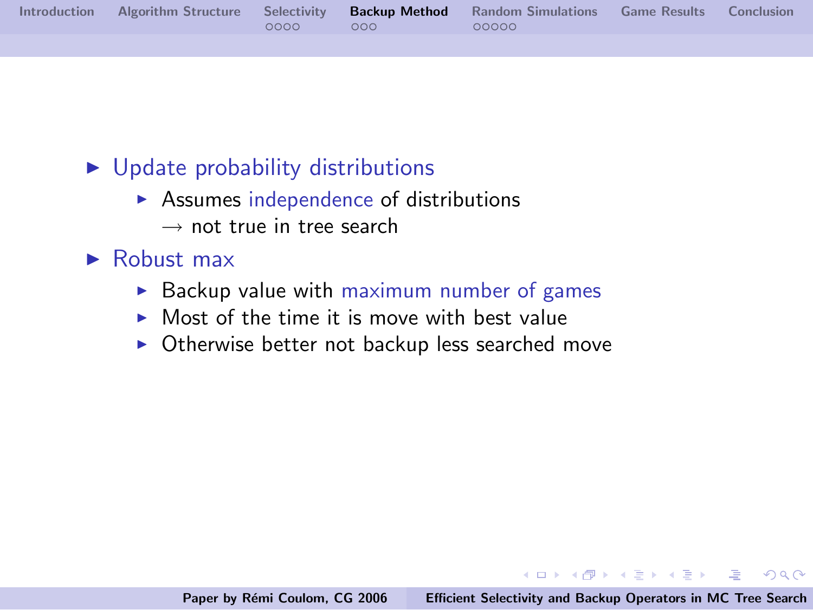|  |          |                | Introduction Algorithm Structure Selectivity Backup Method Random Simulations Game Results Conclusion |  |
|--|----------|----------------|-------------------------------------------------------------------------------------------------------|--|
|  | $0000 -$ | $\sim$ 000 $-$ | 00000                                                                                                 |  |
|  |          |                |                                                                                                       |  |

### $\triangleright$  Update probability distributions

- $\triangleright$  Assumes independence of distributions  $\rightarrow$  not true in tree search
- $\blacktriangleright$  Robust max
	- $\triangleright$  Backup value with maximum number of games
	- $\triangleright$  Most of the time it is move with best value
	- $\triangleright$  Otherwise better not backup less searched move

イロメ イ御メ イヨメ イヨメー

 $\equiv$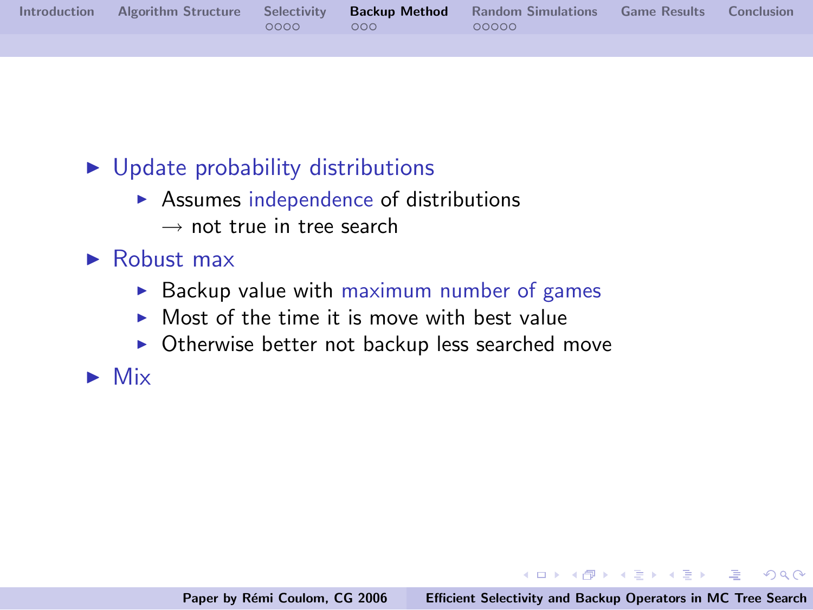|  |          |     | Introduction Algorithm Structure Selectivity Backup Method Random Simulations Game Results Conclusion |  |
|--|----------|-----|-------------------------------------------------------------------------------------------------------|--|
|  | $0000 -$ | റററ | 00000                                                                                                 |  |
|  |          |     |                                                                                                       |  |

### $\triangleright$  Update probability distributions

- $\triangleright$  Assumes independence of distributions  $\rightarrow$  not true in tree search
- $\blacktriangleright$  Robust max
	- $\triangleright$  Backup value with maximum number of games
	- $\triangleright$  Most of the time it is move with best value
	- $\triangleright$  Otherwise better not backup less searched move

 $\blacktriangleright$  Mix

イロメ イ部メ イヨメ イヨメー

 $\Rightarrow$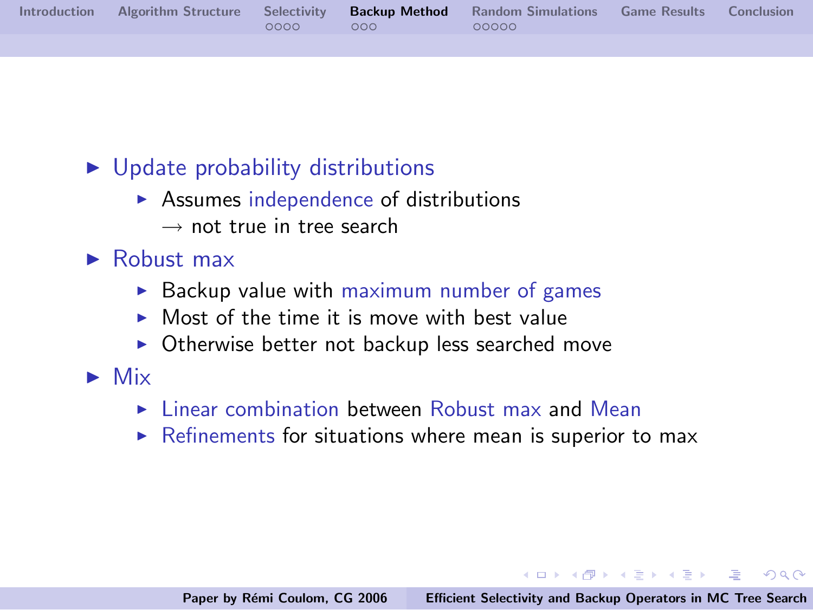|  |      |     | Introduction Algorithm Structure Selectivity Backup Method Random Simulations Game Results Conclusion |  |
|--|------|-----|-------------------------------------------------------------------------------------------------------|--|
|  | റററെ | റററ | 00000                                                                                                 |  |
|  |      |     |                                                                                                       |  |

## $\triangleright$  Update probability distributions

- $\triangleright$  Assumes independence of distributions  $\rightarrow$  not true in tree search
- $\blacktriangleright$  Robust max
	- $\triangleright$  Backup value with maximum number of games
	- $\triangleright$  Most of the time it is move with best value
	- $\triangleright$  Otherwise better not backup less searched move
- $\blacktriangleright$  Mix
	- $\blacktriangleright$  Linear combination between Robust max and Mean
	- $\triangleright$  Refinements for situations where mean is superior to max

イロメ イ部メ イヨメ イヨメー

 $\equiv$   $\cap$   $\cap$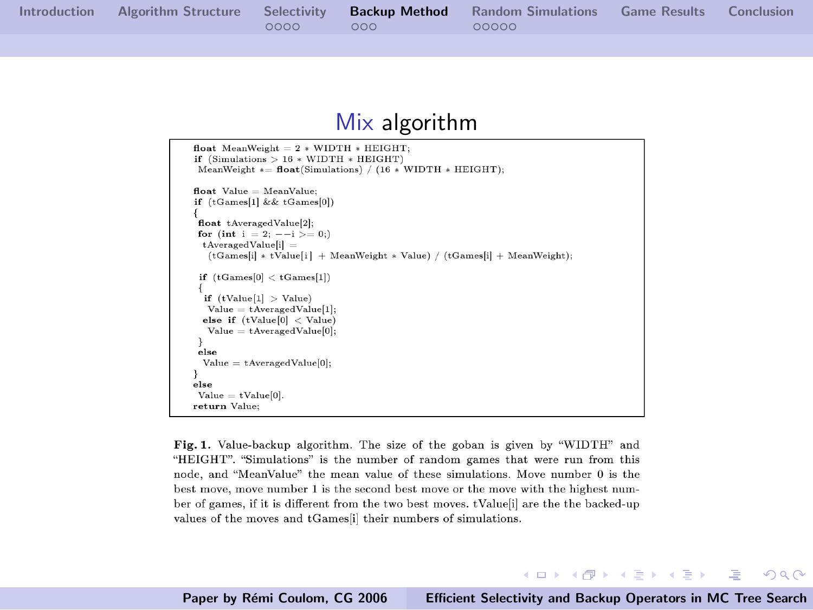[Introduction](#page-2-0) [Algorithm Structure](#page-7-0) [Selectivity](#page-13-0) **[Backup Method](#page-27-0)** [Random Simulations](#page-42-0) [Game Results](#page-53-0) [Conclusion](#page-54-0)<br>0000 000 0000 0000

#### Mix algorithm

```
float MeanWeight = 2 * \text{WIDTH} * \text{HEIGHT};
if (Simulations > 16 * WIDTH * HEIGHT)MeanWeight * = float(Simulations) / (16 * WIDTH * HEIGHT):
float Value = MeanValueif (tGames[1] && tGames[0])
float tAveragedValue[2]:
for (int i = 2; -1 > 0;)
 t Averaged Valuelil =(tGamesii) * tValueii + MeanWeight * Value) / (tGamesii + MeanWeight);if (tGames[0] < tGames[1]if (tValu e[1] > Valu e)Value = tAverageValue[1];else if (tValue[0] < Value)Value = tAverageValue[0].else
 Value = tAverageValue[0];else
Value = tValue[0].return Value:
```
Fig. 1. Value-backup algorithm. The size of the goban is given by "WIDTH" and "HEIGHT". "Simulations" is the number of random games that were run from this node, and "MeanValue" the mean value of these simulations. Move number 0 is the best move, move number 1 is the second best move or the move with the highest number of games, if it is different from the two best moves. tValue i are the the backed-up values of the moves and tGames[i] their numbers of simulations.

Paper by Rémi Coulom, CG 2006 [Efficient Selectivity and Backup Operators in MC Tree Search](#page-0-0)

イロメ イ部メ イヨメ イヨメー

哇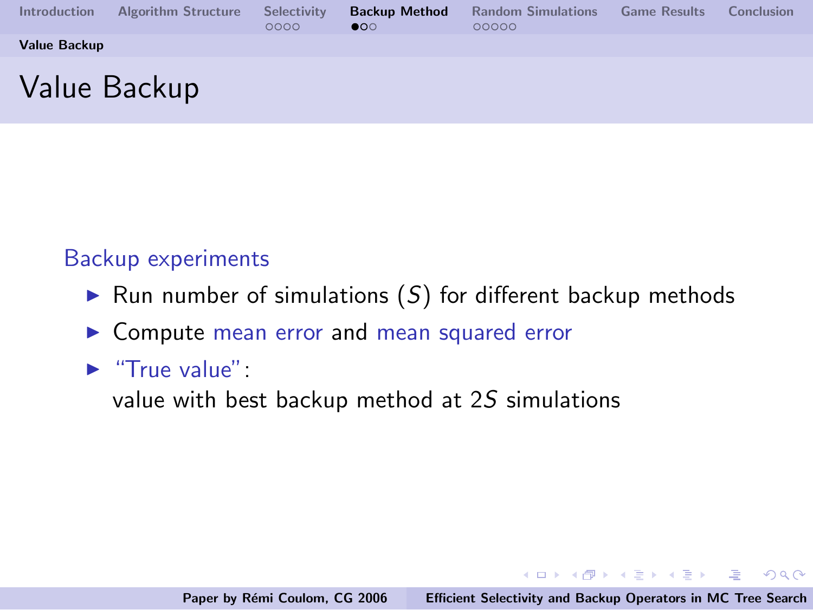| Introduction | <b>Algorithm Structure</b> | Selectivity<br>0000 | <b>Backup Method</b><br>$\bullet$ | <b>Random Simulations</b><br>00000 | <b>Game Results</b> | Conclusion |
|--------------|----------------------------|---------------------|-----------------------------------|------------------------------------|---------------------|------------|
| Value Backup |                            |                     |                                   |                                    |                     |            |
|              | Value Backup               |                     |                                   |                                    |                     |            |

#### Backup experiments

- $\triangleright$  Run number of simulations  $(S)$  for different backup methods
- $\triangleright$  Compute mean error and mean squared error

#### $\blacktriangleright$  "True value":

value with best backup method at 2S simulations

イロメ イ部メ イヨメ イヨメー

<span id="page-39-0"></span> $\equiv$  $\Omega$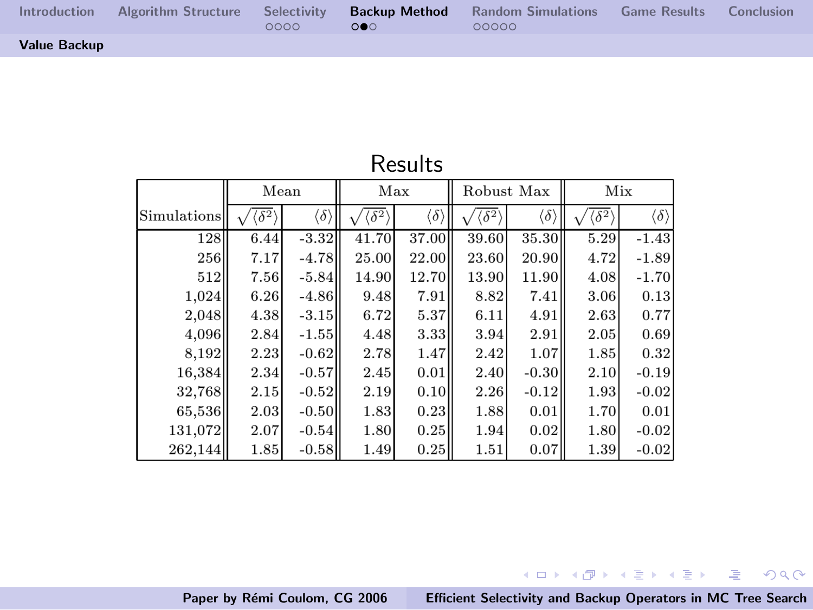| <b>Introduction</b> | 0000 | 000 | Algorithm Structure Selectivity <b>Backup Method</b> Random Simulations Game Results Conclusion<br>00000 |  |
|---------------------|------|-----|----------------------------------------------------------------------------------------------------------|--|
| <b>Value Backup</b> |      |     |                                                                                                          |  |

|             | Mean              |                          | Max                                       |                          | Robust Max        |                          | Mix               |                          |  |  |  |
|-------------|-------------------|--------------------------|-------------------------------------------|--------------------------|-------------------|--------------------------|-------------------|--------------------------|--|--|--|
| Simulations | $\sqrt{\delta^2}$ | $\langle \delta \rangle$ | $\langle\,\overline{\delta^{\,2}}\rangle$ | $\langle \delta \rangle$ | $\sqrt{\delta^2}$ | $\langle \delta \rangle$ | $\sqrt{\delta^2}$ | $\langle \delta \rangle$ |  |  |  |
| 128         | 6.44              | $-3.32$                  | 41.70                                     | 37.00                    | 39.60             | 35.30                    | 5.29              | $-1.43$                  |  |  |  |
| 256         | 7.17              | $-4.78$                  | 25.00                                     | 22.00                    | 23.60             | 20.90                    | 4.72              | $-1.89$                  |  |  |  |
| 512         | 7.56              | $-5.84$                  | 14.90                                     | 12.70                    | 13.90             | 11.90                    | 4.08              | $-1.70$                  |  |  |  |
| 1.024       | 6.26              | $-4.86$                  | 9.48                                      | 7.91                     | 8.82              | 7.41                     | 3.06              | 0.13                     |  |  |  |
| 2,048       | 4.38              | $-3.15$                  | 6.72                                      | 5.37                     | 6.11              | 4.91                     | 2.63              | 0.77                     |  |  |  |
| 4.096       | 2.84              | $-1.55$                  | 4.48                                      | 3.33                     | 3.94              | 2.91                     | 2.05              | 0.69                     |  |  |  |
| 8,192       | 2.23              | $-0.62$                  | 2.78                                      | 1.47                     | 2.42              | 1.07                     | 1.85              | 0.32                     |  |  |  |
| 16,384      | 2.34              | $-0.57$                  | 2.45                                      | 0.01                     | 2.40              | $-0.30$                  | 2.10              | $-0.19$                  |  |  |  |
| 32,768      | 2.15              | $-0.52$                  | 2.19                                      | 0.10                     | 2.26              | $-0.12$                  | 1.93              | $-0.02$                  |  |  |  |
| 65,536      | 2.03              | $-0.50$                  | 1.83                                      | 0.23                     | 1.88              | 0.01                     | 1.70              | 0.01                     |  |  |  |
| 131,072     | 2.07              | $-0.54$                  | 1.80                                      | 0.25                     | 1.94              | 0.02                     | 1.80              | $-0.02$                  |  |  |  |
| 262,144     | 1.85              | $-0.58$                  | 1.49                                      | 0.25                     | 1.51              | 0.07                     | 1.39              | $-0.02$                  |  |  |  |

#### Results

Paper by Rémi Coulom, CG 2006 [Efficient Selectivity and Backup Operators in MC Tree Search](#page-0-0)

メロメ メタメ メミメ メミメー

● 1  $2990$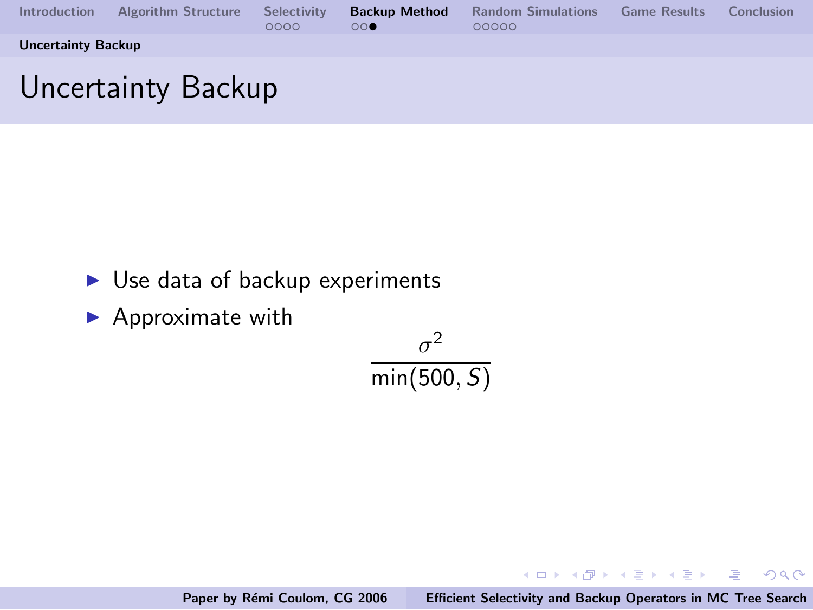| <b>Introduction</b>       | Algorithm Structure | Selectivity<br>0000 | $\bigcirc$ | <b>Backup Method</b> Random Simulations<br>00000 | <b>Game Results</b> | Conclusion |
|---------------------------|---------------------|---------------------|------------|--------------------------------------------------|---------------------|------------|
| <b>Uncertainty Backup</b> |                     |                     |            |                                                  |                     |            |
|                           |                     |                     |            |                                                  |                     |            |

# Uncertainty Backup

- $\blacktriangleright$  Use data of backup experiments
- $\blacktriangleright$  Approximate with

$$
\frac{\sigma^2}{\min(500, S)}
$$

Paper by Rémi Coulom, CG 2006 [Efficient Selectivity and Backup Operators in MC Tree Search](#page-0-0)

イロメ イ部メ イヨメ イヨメー

哇

<span id="page-41-0"></span> $2Q$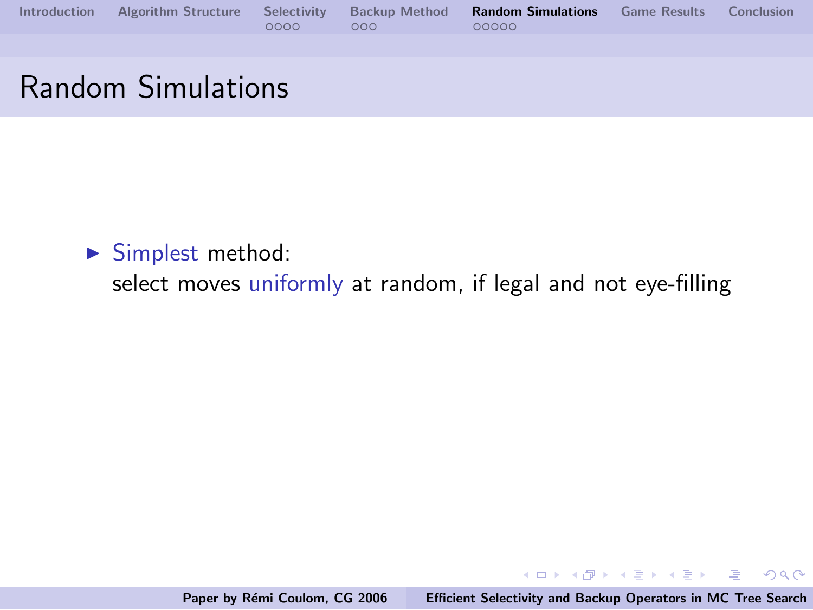|  |      |         | Introduction Algorithm Structure Selectivity Backup Method Random Simulations Game Results Conclusion |  |
|--|------|---------|-------------------------------------------------------------------------------------------------------|--|
|  | 0000 | $000 -$ | 00000                                                                                                 |  |
|  |      |         |                                                                                                       |  |

## Random Simulations

 $\blacktriangleright$  Simplest method:

select moves uniformly at random, if legal and not eye-filling

Paper by Rémi Coulom, CG 2006 [Efficient Selectivity and Backup Operators in MC Tree Search](#page-0-0)

イロメ イ部メ イヨメ イヨメー

<span id="page-42-0"></span> $E = \Omega Q$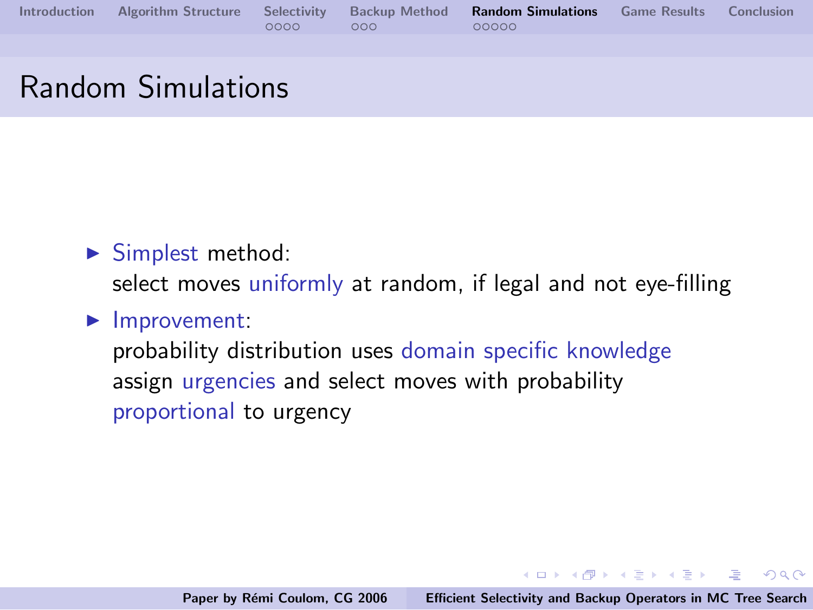|  |                                                                 | Introduction Algorithm Structure Selectivity Backup Method Random Simulations Game Results Conclusion |  |
|--|-----------------------------------------------------------------|-------------------------------------------------------------------------------------------------------|--|
|  | $\begin{array}{ccc} 0 & 0 & 0 & 0 \\ 0 & 0 & 0 & 0 \end{array}$ | - QQQQQ                                                                                               |  |

## Random Simulations

 $\blacktriangleright$  Simplest method:

select moves uniformly at random, if legal and not eye-filling

#### $\blacktriangleright$  Improvement:

probability distribution uses domain specific knowledge assign urgencies and select moves with probability proportional to urgency

イロメ イ部メ イヨメ イヨメー

 $\equiv$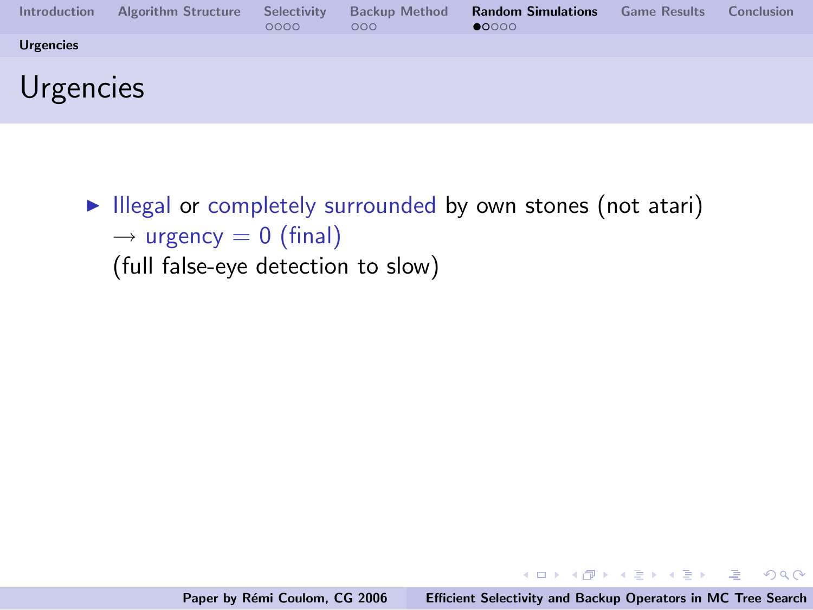| <b>Introduction</b> | <b>Algorithm Structure</b> | Selectivity<br>0000 | <b>Backup Method</b><br>000 | <b>Random Simulations</b><br>$\bullet$ 0000 | <b>Game Results</b> | Conclusion |
|---------------------|----------------------------|---------------------|-----------------------------|---------------------------------------------|---------------------|------------|
| <b>Urgencies</b>    |                            |                     |                             |                                             |                     |            |
| Urgencies           |                            |                     |                             |                                             |                     |            |

 $\blacktriangleright$  Illegal or completely surrounded by own stones (not atari)  $\rightarrow$  urgency = 0 (final) (full false-eye detection to slow)

<span id="page-44-0"></span>K ロ ▶ K @ ▶ K 글 ▶ K 글 ▶ → 글 → K) Q Q →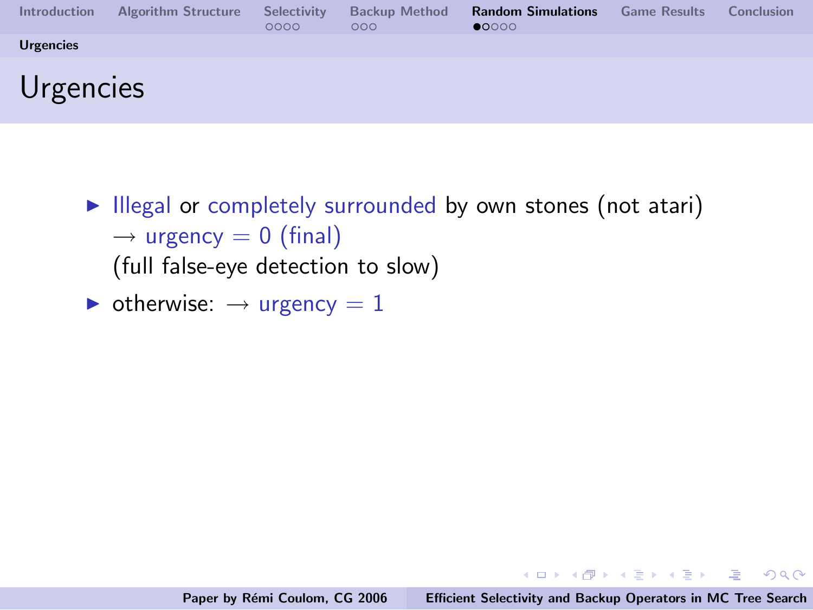| <b>Introduction</b> | <b>Algorithm Structure</b> | Selectivity<br>0000 | <b>Backup Method</b><br>000 | <b>Random Simulations</b><br>$\bullet$ 0000 | <b>Game Results</b> | Conclusion |
|---------------------|----------------------------|---------------------|-----------------------------|---------------------------------------------|---------------------|------------|
| <b>Urgencies</b>    |                            |                     |                             |                                             |                     |            |
| Urgencies           |                            |                     |                             |                                             |                     |            |

- $\blacktriangleright$  Illegal or completely surrounded by own stones (not atari)  $\rightarrow$  urgency = 0 (final) (full false-eye detection to slow)
- $\triangleright$  otherwise:  $\rightarrow$  urgency = 1

イロン イ団ン イミン イモンド 走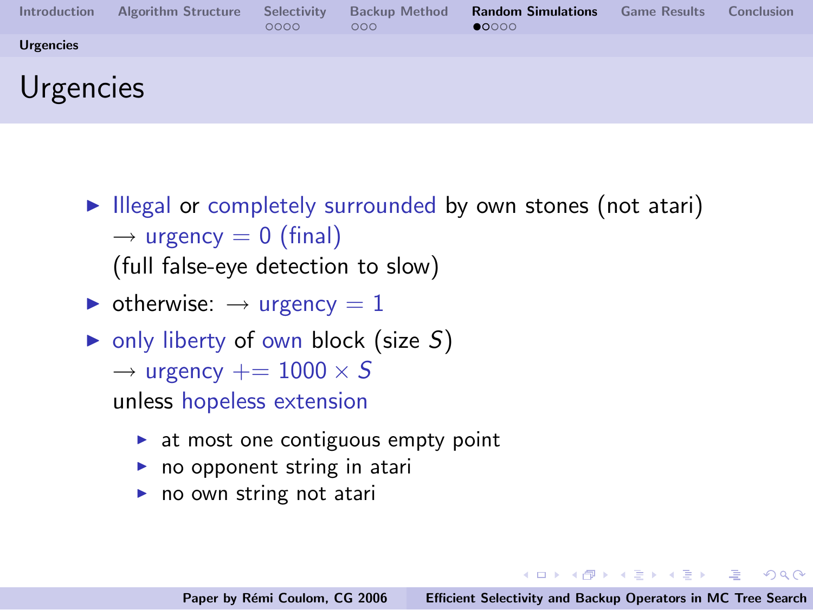| <b>Introduction</b> | <b>Algorithm Structure</b> | Selectivity<br>0000 | <b>Backup Method</b><br>000 | <b>Random Simulations</b><br>$\bullet$ 0000 | <b>Game Results</b> | Conclusion |
|---------------------|----------------------------|---------------------|-----------------------------|---------------------------------------------|---------------------|------------|
| <b>Urgencies</b>    |                            |                     |                             |                                             |                     |            |
| Urgencies           |                            |                     |                             |                                             |                     |            |

- $\blacktriangleright$  Illegal or completely surrounded by own stones (not atari)  $\rightarrow$  urgency = 0 (final) (full false-eye detection to slow)
- $\triangleright$  otherwise:  $\rightarrow$  urgency = 1
- $\triangleright$  only liberty of own block (size S)  $\rightarrow$  urgency  $+= 1000 \times S$ unless hopeless extension
	- $\triangleright$  at most one contiguous empty point
	- $\blacktriangleright$  no opponent string in atari
	- $\triangleright$  no own string not atari

イロン イ母ン イミン イモンニ 正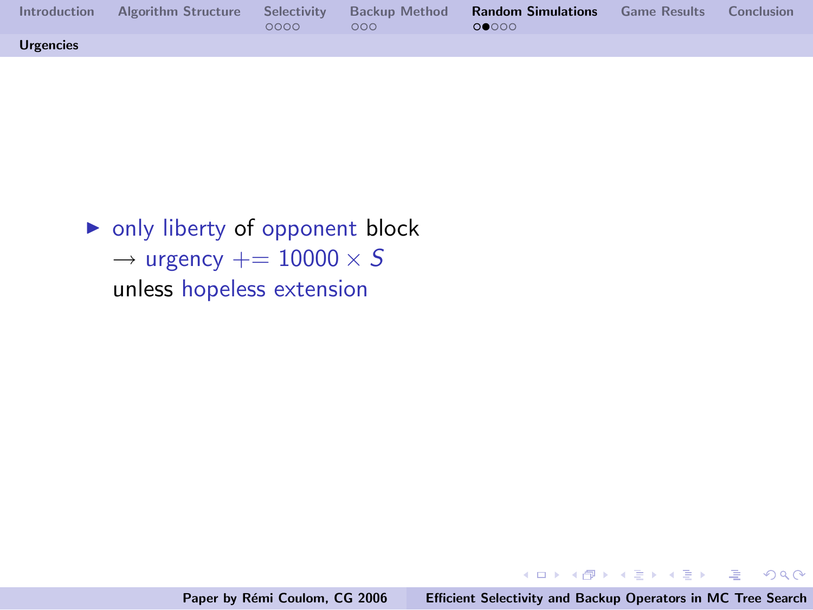| Introduction     | 0000 | 000 | Algorithm Structure Selectivity Backup Method <b>Random Simulations</b> Game Results Conclusion<br>00000 |  |
|------------------|------|-----|----------------------------------------------------------------------------------------------------------|--|
| <b>Urgencies</b> |      |     |                                                                                                          |  |

 $\triangleright$  only liberty of opponent block  $\rightarrow$  urgency  $+= 10000 \times S$ unless hopeless extension

イロメ イ御メ イヨメ イヨメー

 $\equiv$ 

 $QQ$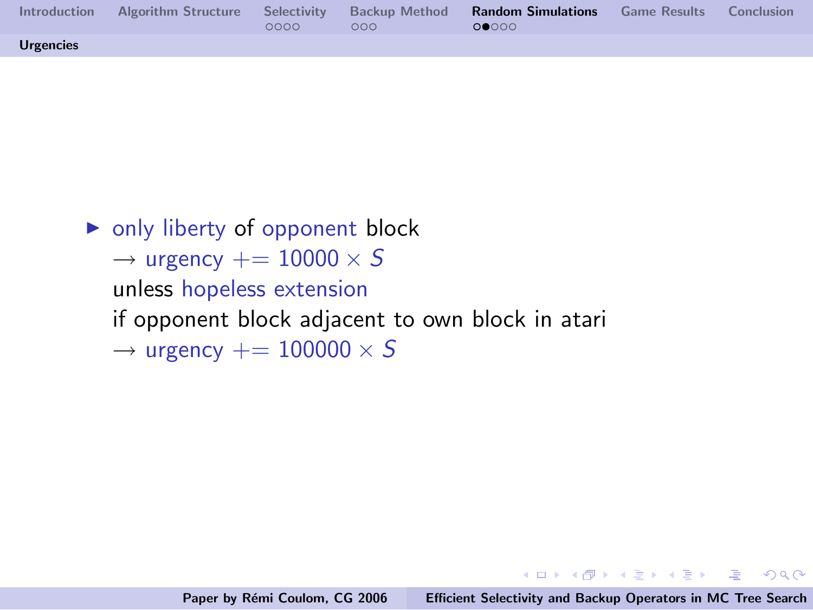| Introduction     | 0000 | 000 | Algorithm Structure Selectivity Backup Method <b>Random Simulations</b> Game Results Conclusion<br>റ∙െറ |  |
|------------------|------|-----|---------------------------------------------------------------------------------------------------------|--|
| <b>Urgencies</b> |      |     |                                                                                                         |  |

 $\triangleright$  only liberty of opponent block  $\rightarrow$  urgency  $+= 10000 \times S$ unless hopeless extension if opponent block adjacent to own block in atari  $\rightarrow$  urgency  $+= 100000 \times S$ 

K ロ ▶ K 個 ▶ K 글 ▶ K 글 ▶ - 글 - K 9 Q @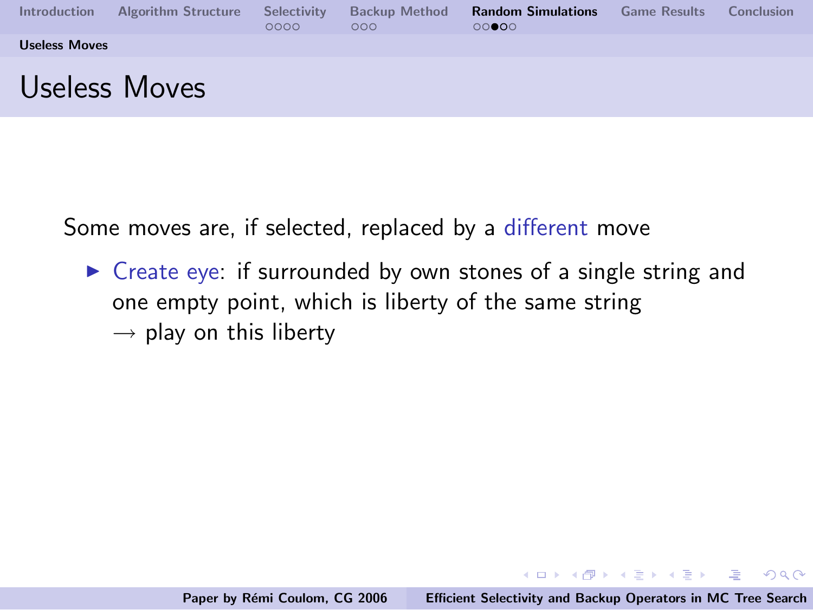| Introduction         | <b>Algorithm Structure</b> | Selectivity<br>0000 | <b>Backup Method</b><br>000 | <b>Random Simulations</b><br>00000 | <b>Game Results</b> | Conclusion |
|----------------------|----------------------------|---------------------|-----------------------------|------------------------------------|---------------------|------------|
| <b>Useless Moves</b> |                            |                     |                             |                                    |                     |            |
|                      | Useless Moves              |                     |                             |                                    |                     |            |

Some moves are, if selected, replaced by a different move

 $\triangleright$  Create eye: if surrounded by own stones of a single string and one empty point, which is liberty of the same string  $\rightarrow$  play on this liberty

<span id="page-49-0"></span>K ロ ▶ K @ ▶ K 글 ▶ K 글 ▶ → 글 → K) Q Q →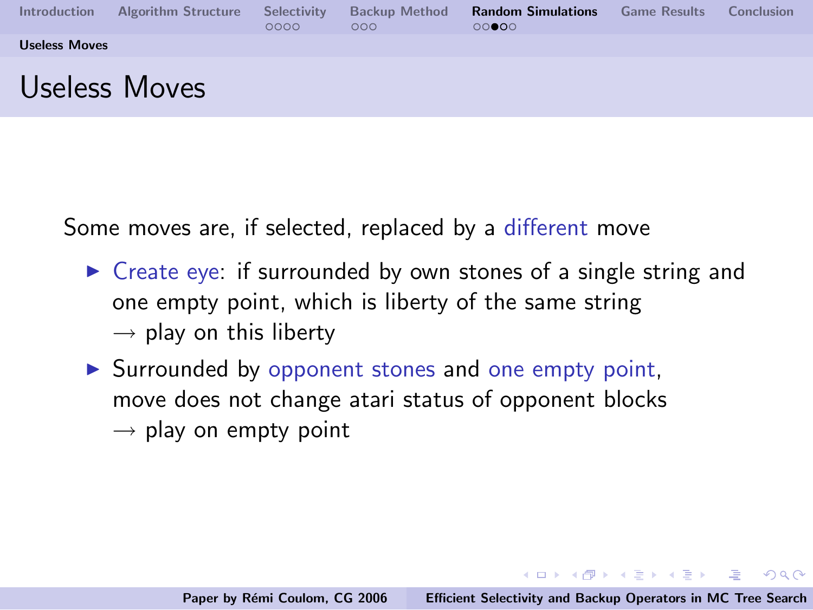| Introduction         | <b>Algorithm Structure</b> | Selectivity<br>0000 | <b>Backup Method</b><br>000 | <b>Random Simulations</b><br>00000 | <b>Game Results</b> | Conclusion |
|----------------------|----------------------------|---------------------|-----------------------------|------------------------------------|---------------------|------------|
| <b>Useless Moves</b> |                            |                     |                             |                                    |                     |            |
|                      | Useless Moves              |                     |                             |                                    |                     |            |

Some moves are, if selected, replaced by a different move

- $\triangleright$  Create eye: if surrounded by own stones of a single string and one empty point, which is liberty of the same string  $\rightarrow$  play on this liberty
- $\triangleright$  Surrounded by opponent stones and one empty point, move does not change atari status of opponent blocks  $\rightarrow$  play on empty point

 $(1, 1)$   $(1, 1)$   $(1, 1)$   $(1, 1)$   $(1, 1)$   $(1, 1)$   $(1, 1)$   $(1, 1)$   $(1, 1)$   $(1, 1)$   $(1, 1)$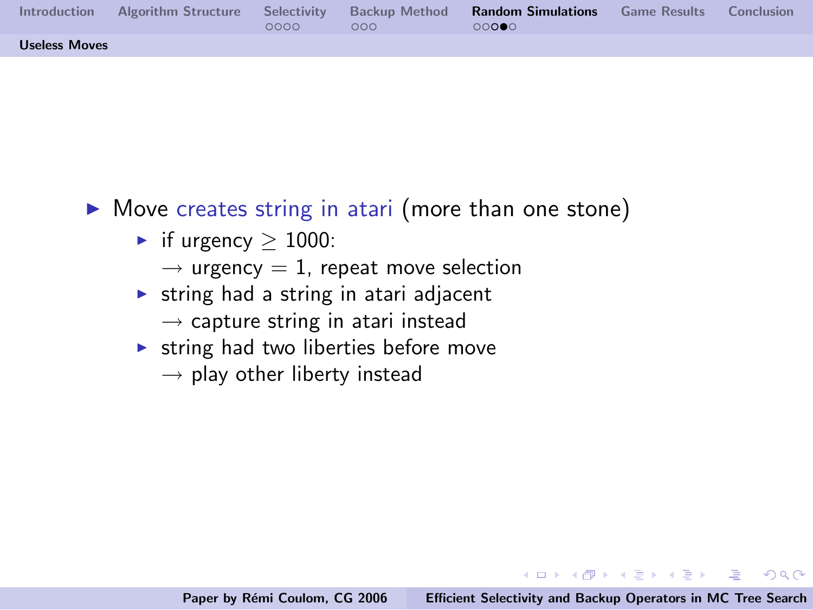| Introduction         | Algorithm Structure | 0000 | 000 | Selectivity Backup Method <b>Random Simulations</b> Game Results Conclusion<br>റററൈ |  |
|----------------------|---------------------|------|-----|-------------------------------------------------------------------------------------|--|
| <b>Useless Moves</b> |                     |      |     |                                                                                     |  |

- $\triangleright$  Move creates string in atari (more than one stone)
	- $\triangleright$  if urgency > 1000:
		- $\rightarrow$  urgency = 1, repeat move selection
	- $\triangleright$  string had a string in atari adjacent  $\rightarrow$  capture string in atari instead
	- $\triangleright$  string had two liberties before move
		- $\rightarrow$  play other liberty instead

K ロ ▶ K @ ▶ K 글 ▶ K 글 ▶ → 글 → K) Q Q →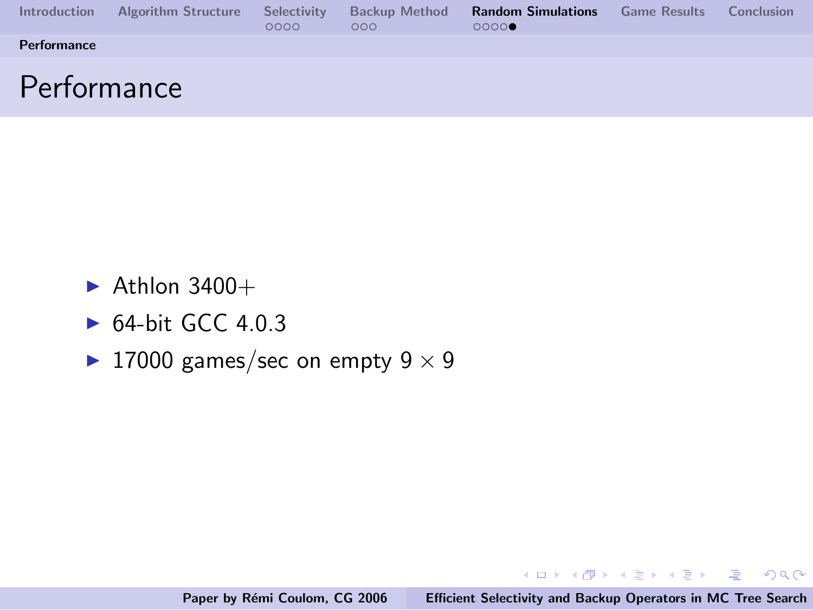| <b>Introduction</b> | <b>Algorithm Structure</b> | Selectivity<br>0000 | <b>Backup Method</b><br>000 | <b>Random Simulations</b><br>0000 | <b>Game Results</b> | Conclusion |
|---------------------|----------------------------|---------------------|-----------------------------|-----------------------------------|---------------------|------------|
| <b>Performance</b>  |                            |                     |                             |                                   |                     |            |
| Performance         |                            |                     |                             |                                   |                     |            |

- $\blacktriangleright$  Athlon 3400+
- $\triangleright$  64-bit GCC 4.0.3
- ▶ 17000 games/sec on empty  $9 \times 9$

イロメ イ母メ イヨメ イヨメーヨー

<span id="page-52-0"></span> $QQ$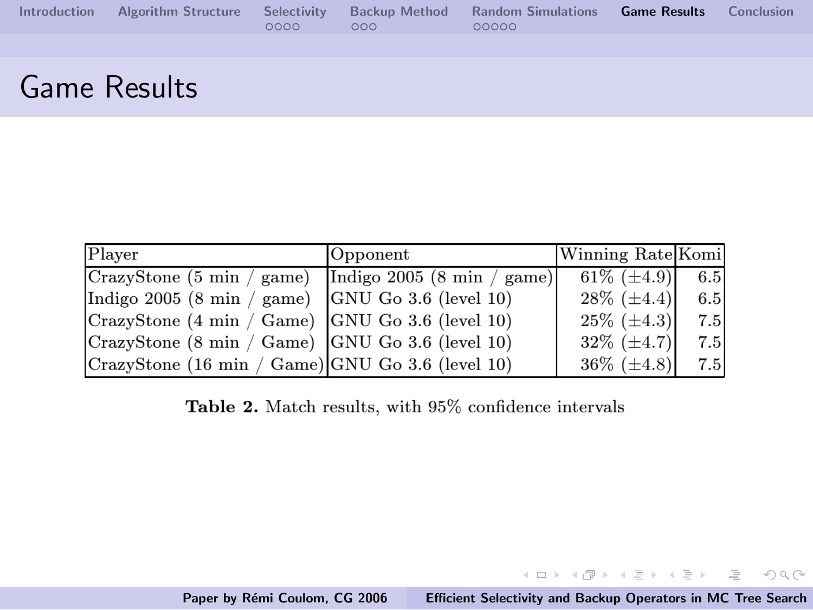|  |            | Introduction Algorithm Structure Selectivity Backup Method Random Simulations Game Results Conclusion |  |
|--|------------|-------------------------------------------------------------------------------------------------------|--|
|  | $0000$ 000 | 00000                                                                                                 |  |

# Game Results

| Player                                                           | Opponent | Winning Rate Komi |     |
|------------------------------------------------------------------|----------|-------------------|-----|
| $ CrazvStone$ (5 min / game) Indigo 2005 (8 min / game)          |          | 61\% $(\pm 4.9)$  | 6.5 |
| $\vert$ Indigo 2005 (8 min / game) $\vert$ GNU Go 3.6 (level 10) |          | $28\%~(\pm 4.4)$  | 6.5 |
| CrazyStone (4 min / Game) GNU Go 3.6 (level 10)                  |          | $25\%~(\pm 4.3)$  | 7.5 |
| CrazyStone (8 min / Game)   GNU Go 3.6 (level 10)                |          | $32\%~(\pm 4.7)$  | 7.5 |
| CrazyStone (16 min / Game) GNU Go 3.6 (level 10)                 |          | $36\%~(\pm 4.8)$  | 7.5 |

Table 2. Match results, with 95% confidence intervals

<span id="page-53-0"></span>K ロ X K @ X K 할 X K 할 X ( 할 X ) 원 X 0 K 0 K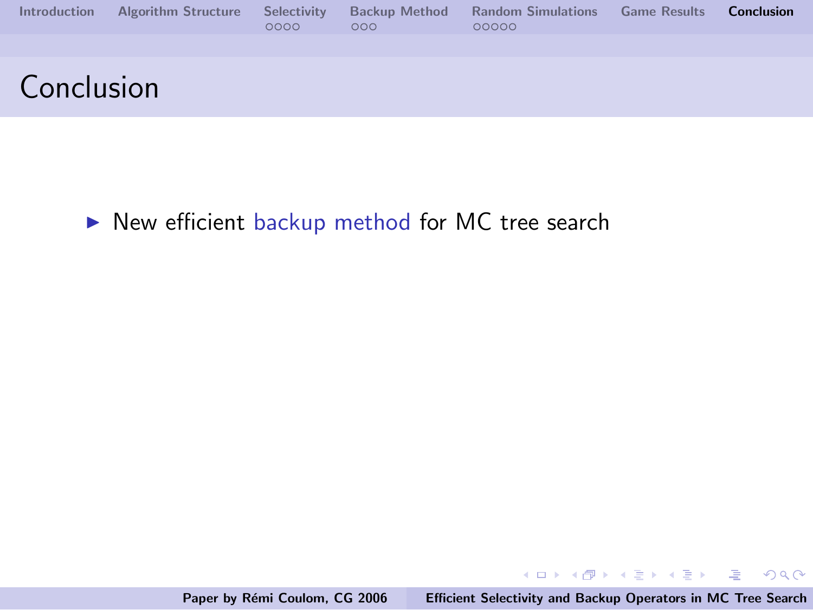| Introduction | <b>Algorithm Structure</b> | Selectivity<br>0000 | <b>Backup Method</b><br>000 | <b>Random Simulations</b> Game Results <b>Conclusion</b><br>00000 |  |
|--------------|----------------------------|---------------------|-----------------------------|-------------------------------------------------------------------|--|
|              |                            |                     |                             |                                                                   |  |
| Conclusion   |                            |                     |                             |                                                                   |  |

 $\blacktriangleright$  New efficient backup method for MC tree search

メロメ メ団 メメ きょくきょう

画

<span id="page-54-0"></span> $QQ$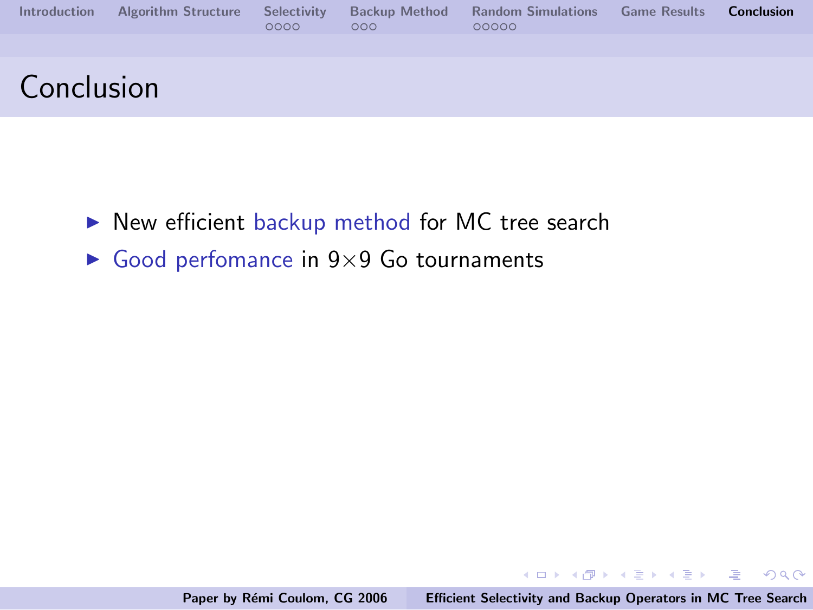| <b>Introduction</b> | <b>Algorithm Structure</b> | Selectivity<br>0000 | <b>Backup Method</b><br>000 <sub>o</sub> | <b>Random Simulations</b><br>00000 | <b>Game Results</b> | <b>Conclusion</b> |
|---------------------|----------------------------|---------------------|------------------------------------------|------------------------------------|---------------------|-------------------|
|                     |                            |                     |                                          |                                    |                     |                   |
| Conclusion          |                            |                     |                                          |                                    |                     |                   |

- $\blacktriangleright$  New efficient backup method for MC tree search
- $\triangleright$  Good perfomance in 9×9 Go tournaments

イロメ イ部メ イヨメ イヨメー

 $\equiv$  $OQ$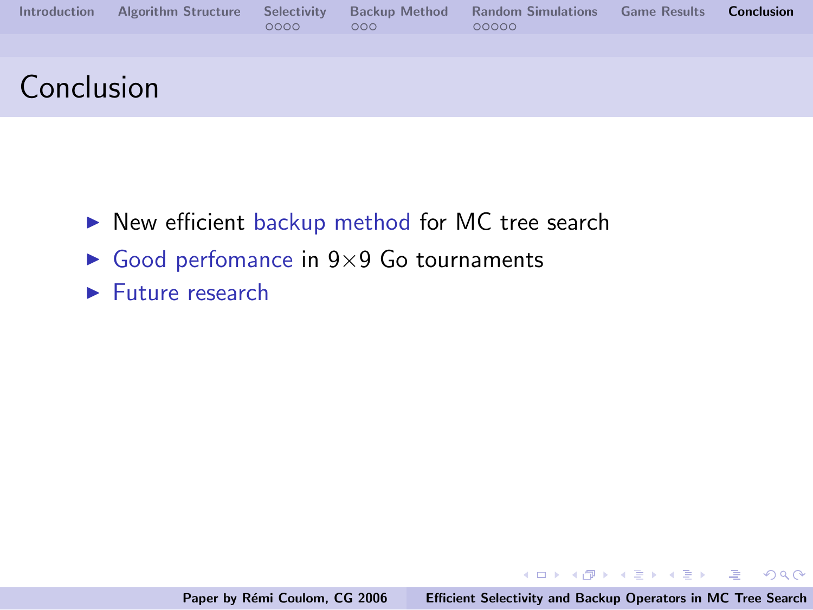| <b>Introduction</b> | <b>Algorithm Structure Selectivity</b> | 0000 | <b>Backup Method</b><br>000 | <b>Random Simulations</b><br>00000 | <b>Game Results</b> | <b>Conclusion</b> |
|---------------------|----------------------------------------|------|-----------------------------|------------------------------------|---------------------|-------------------|
|                     |                                        |      |                             |                                    |                     |                   |
| Conclusion          |                                        |      |                             |                                    |                     |                   |

- $\triangleright$  New efficient backup method for MC tree search
- $\triangleright$  Good perfomance in 9×9 Go tournaments
- $\blacktriangleright$  Future research

イロメ イ御メ イヨメ イヨメー

 $E = \Omega Q$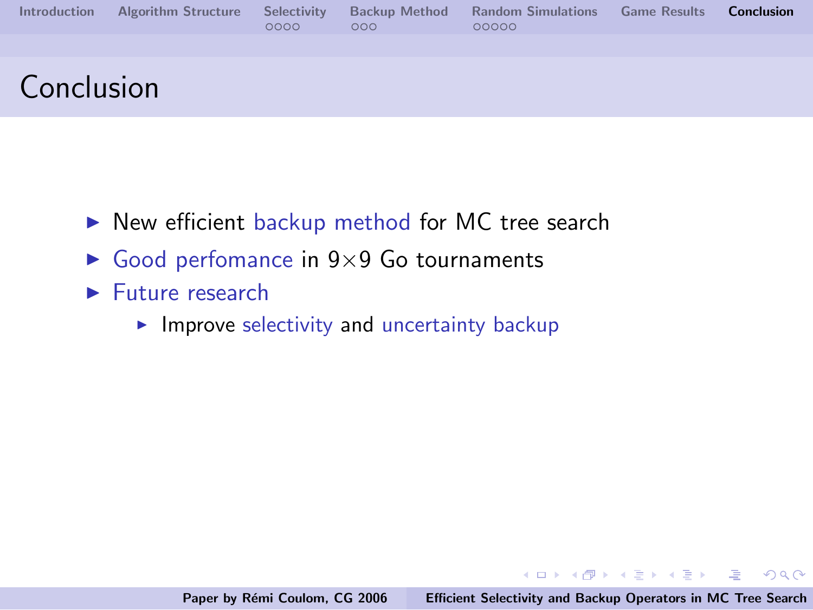| <b>Introduction</b> | <b>Algorithm Structure Selectivity</b> | 0000 | <b>Backup Method</b><br>000 | <b>Random Simulations Game Results</b><br>00000 | <b>Conclusion</b> |
|---------------------|----------------------------------------|------|-----------------------------|-------------------------------------------------|-------------------|
|                     |                                        |      |                             |                                                 |                   |
| Conclusion          |                                        |      |                             |                                                 |                   |

- $\triangleright$  New efficient backup method for MC tree search
- $\triangleright$  Good perfomance in 9×9 Go tournaments
- $\blacktriangleright$  Future research
	- $\blacktriangleright$  Improve selectivity and uncertainty backup

イロメ イ部メ イヨメ イヨメー

 $\equiv$   $\cap$   $\alpha$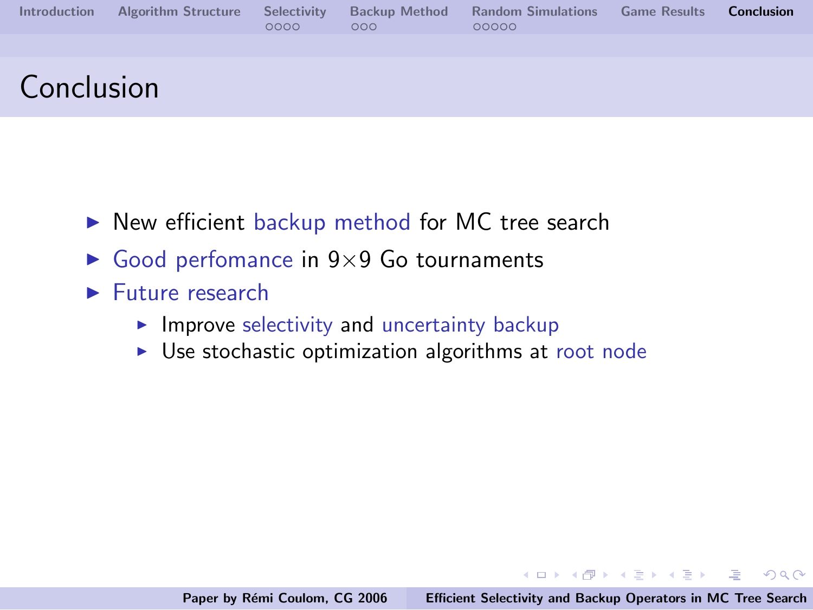| <b>Introduction</b> | <b>Algorithm Structure Selectivity</b> | 0000 | <b>Backup Method</b><br>000 | <b>Random Simulations Game Results</b><br>00000 | <b>Conclusion</b> |
|---------------------|----------------------------------------|------|-----------------------------|-------------------------------------------------|-------------------|
|                     |                                        |      |                             |                                                 |                   |
| Conclusion          |                                        |      |                             |                                                 |                   |

- $\triangleright$  New efficient backup method for MC tree search
- $\triangleright$  Good perfomance in 9×9 Go tournaments
- $\blacktriangleright$  Future research
	- $\blacktriangleright$  Improve selectivity and uncertainty backup
	- $\triangleright$  Use stochastic optimization algorithms at root node

K ロ ▶ K @ ▶ K 글 ▶ K 글 ▶ → 글 → K) Q Q →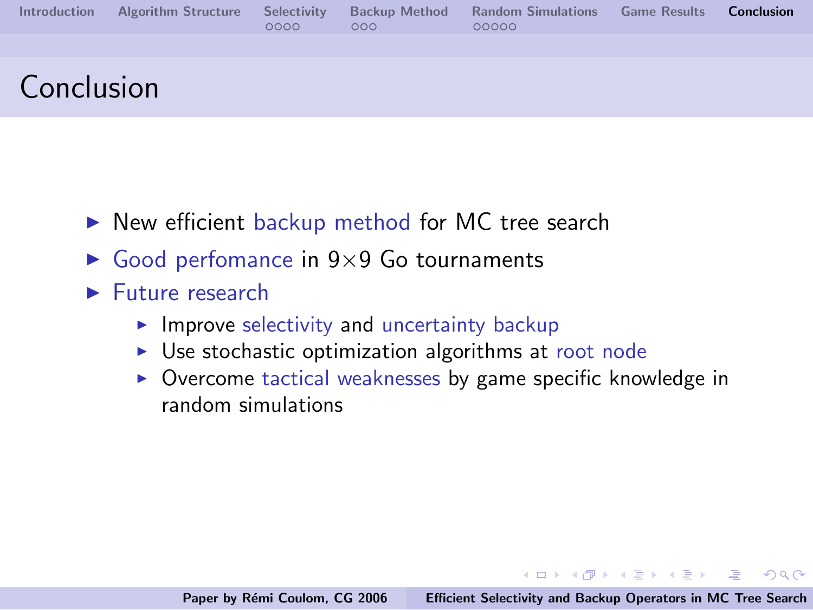| <b>Introduction</b> | <b>Algorithm Structure Selectivity</b> | 0000 | <b>Backup Method</b><br>000 | <b>Random Simulations</b><br>00000 | <b>Game Results</b> | <b>Conclusion</b> |
|---------------------|----------------------------------------|------|-----------------------------|------------------------------------|---------------------|-------------------|
|                     |                                        |      |                             |                                    |                     |                   |
| Conclusion          |                                        |      |                             |                                    |                     |                   |

- $\triangleright$  New efficient backup method for MC tree search
- $\triangleright$  Good perfomance in 9×9 Go tournaments
- $\blacktriangleright$  Future research
	- $\blacktriangleright$  Improve selectivity and uncertainty backup
	- $\triangleright$  Use stochastic optimization algorithms at root node
	- $\triangleright$  Overcome tactical weaknesses by game specific knowledge in random simulations

イロン イ団ン イミン イモンド 走